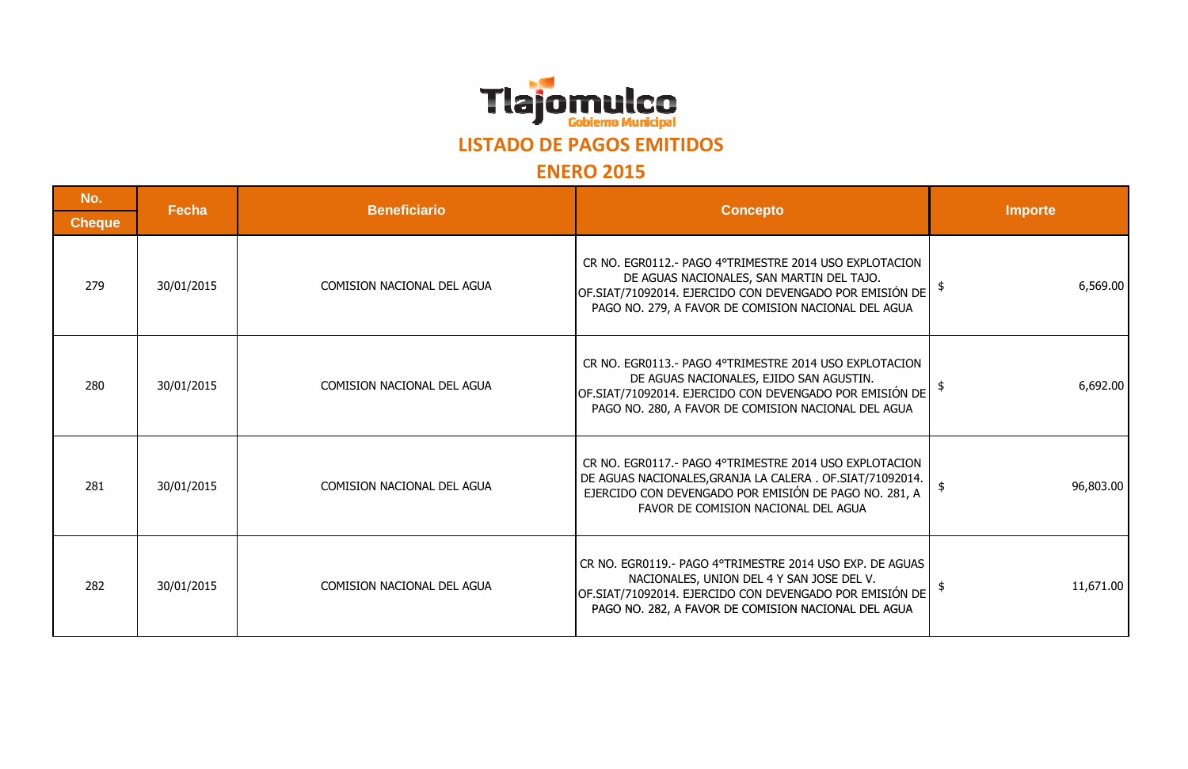

## **LISTADO DE PAGOS EMITIDOS**

## **ENERO 2015**

| No.           | Fecha      | <b>Beneficiario</b>               | <b>Concepto</b>                                                                                                                                                                                                         | <b>Importe</b> |
|---------------|------------|-----------------------------------|-------------------------------------------------------------------------------------------------------------------------------------------------------------------------------------------------------------------------|----------------|
| <b>Cheque</b> |            |                                   |                                                                                                                                                                                                                         |                |
| 279           | 30/01/2015 | COMISION NACIONAL DEL AGUA        | CR NO. EGR0112.- PAGO 4°TRIMESTRE 2014 USO EXPLOTACION<br>DE AGUAS NACIONALES, SAN MARTIN DEL TAJO.<br>OF.SIAT/71092014. EJERCIDO CON DEVENGADO POR EMISIÓN DE<br>PAGO NO. 279, A FAVOR DE COMISION NACIONAL DEL AGUA   | 6,569.00       |
| 280           | 30/01/2015 | COMISION NACIONAL DEL AGUA        | CR NO. EGR0113.- PAGO 4°TRIMESTRE 2014 USO EXPLOTACION<br>DE AGUAS NACIONALES, EJIDO SAN AGUSTIN.<br>OF.SIAT/71092014. EJERCIDO CON DEVENGADO POR EMISIÓN DE<br>PAGO NO. 280, A FAVOR DE COMISION NACIONAL DEL AGUA     | 6,692.00       |
| 281           | 30/01/2015 | COMISION NACIONAL DEL AGUA        | CR NO. EGR0117.- PAGO 4°TRIMESTRE 2014 USO EXPLOTACION<br>DE AGUAS NACIONALES, GRANJA LA CALERA. OF SIAT/71092014.<br>EJERCIDO CON DEVENGADO POR EMISIÓN DE PAGO NO. 281, A<br>FAVOR DE COMISION NACIONAL DEL AGUA      | 96,803.00      |
| 282           | 30/01/2015 | <b>COMISION NACIONAL DEL AGUA</b> | CR NO. EGR0119.- PAGO 4°TRIMESTRE 2014 USO EXP. DE AGUAS<br>NACIONALES, UNION DEL 4 Y SAN JOSE DEL V.<br>OF.SIAT/71092014. EJERCIDO CON DEVENGADO POR EMISIÓN DE<br>PAGO NO. 282, A FAVOR DE COMISION NACIONAL DEL AGUA | 11,671.00      |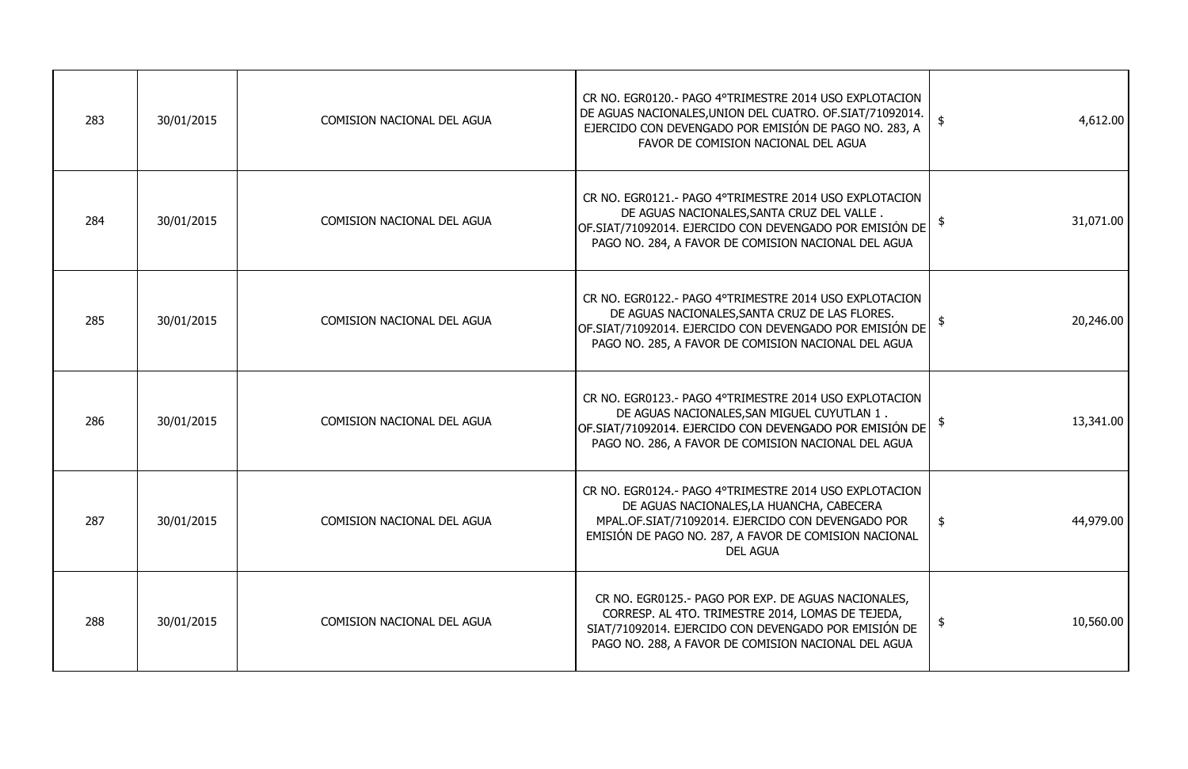| 283 | 30/01/2015 | COMISION NACIONAL DEL AGUA        | CR NO. EGR0120.- PAGO 4°TRIMESTRE 2014 USO EXPLOTACION<br>DE AGUAS NACIONALES, UNION DEL CUATRO. OF SIAT/71092014.<br>EJERCIDO CON DEVENGADO POR EMISIÓN DE PAGO NO. 283, A<br>FAVOR DE COMISION NACIONAL DEL AGUA                   | 4,612.00                   |
|-----|------------|-----------------------------------|--------------------------------------------------------------------------------------------------------------------------------------------------------------------------------------------------------------------------------------|----------------------------|
| 284 | 30/01/2015 | COMISION NACIONAL DEL AGUA        | CR NO. EGR0121.- PAGO 4°TRIMESTRE 2014 USO EXPLOTACION<br>DE AGUAS NACIONALES, SANTA CRUZ DEL VALLE.<br>OF.SIAT/71092014. EJERCIDO CON DEVENGADO POR EMISIÓN DE<br>PAGO NO. 284, A FAVOR DE COMISION NACIONAL DEL AGUA               | 31,071.00                  |
| 285 | 30/01/2015 | <b>COMISION NACIONAL DEL AGUA</b> | CR NO. EGR0122.- PAGO 4°TRIMESTRE 2014 USO EXPLOTACION<br>DE AGUAS NACIONALES, SANTA CRUZ DE LAS FLORES.<br>OF.SIAT/71092014. EJERCIDO CON DEVENGADO POR EMISIÓN DE<br>PAGO NO. 285, A FAVOR DE COMISION NACIONAL DEL AGUA           | 20,246.00                  |
| 286 | 30/01/2015 | COMISION NACIONAL DEL AGUA        | CR NO. EGR0123.- PAGO 4°TRIMESTRE 2014 USO EXPLOTACION<br>DE AGUAS NACIONALES, SAN MIGUEL CUYUTLAN 1.<br>OF.SIAT/71092014. EJERCIDO CON DEVENGADO POR EMISIÓN DE<br>PAGO NO. 286, A FAVOR DE COMISION NACIONAL DEL AGUA              | 13,341.00                  |
| 287 | 30/01/2015 | COMISION NACIONAL DEL AGUA        | CR NO. EGR0124.- PAGO 4°TRIMESTRE 2014 USO EXPLOTACION<br>DE AGUAS NACIONALES, LA HUANCHA, CABECERA<br>MPAL.OF.SIAT/71092014. EJERCIDO CON DEVENGADO POR<br>EMISIÓN DE PAGO NO. 287, A FAVOR DE COMISION NACIONAL<br><b>DEL AGUA</b> | 44,979.00<br>$\frac{1}{2}$ |
| 288 | 30/01/2015 | <b>COMISION NACIONAL DEL AGUA</b> | CR NO. EGR0125.- PAGO POR EXP. DE AGUAS NACIONALES,<br>CORRESP. AL 4TO. TRIMESTRE 2014, LOMAS DE TEJEDA,<br>SIAT/71092014. EJERCIDO CON DEVENGADO POR EMISIÓN DE<br>PAGO NO. 288, A FAVOR DE COMISION NACIONAL DEL AGUA              | 10,560.00<br>$\frac{1}{2}$ |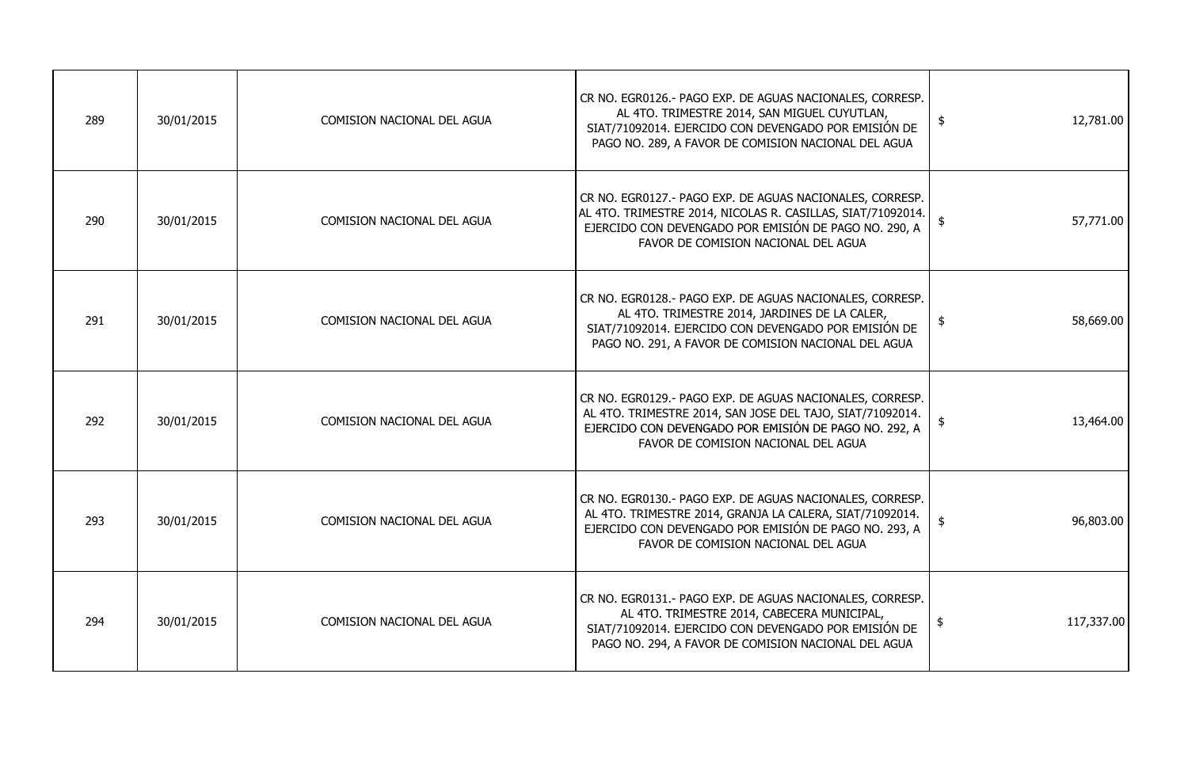| 289 | 30/01/2015 | COMISION NACIONAL DEL AGUA | CR NO. EGR0126.- PAGO EXP. DE AGUAS NACIONALES, CORRESP.<br>AL 4TO. TRIMESTRE 2014, SAN MIGUEL CUYUTLAN,<br>SIAT/71092014. EJERCIDO CON DEVENGADO POR EMISIÓN DE<br>PAGO NO. 289, A FAVOR DE COMISION NACIONAL DEL AGUA  | 12,781.00<br>$\frac{1}{2}$ |
|-----|------------|----------------------------|--------------------------------------------------------------------------------------------------------------------------------------------------------------------------------------------------------------------------|----------------------------|
| 290 | 30/01/2015 | COMISION NACIONAL DEL AGUA | CR NO. EGR0127.- PAGO EXP. DE AGUAS NACIONALES, CORRESP.<br>AL 4TO. TRIMESTRE 2014, NICOLAS R. CASILLAS, SIAT/71092014.<br>EJERCIDO CON DEVENGADO POR EMISIÓN DE PAGO NO. 290, A<br>FAVOR DE COMISION NACIONAL DEL AGUA  | 57,771.00                  |
| 291 | 30/01/2015 | COMISION NACIONAL DEL AGUA | CR NO. EGR0128.- PAGO EXP. DE AGUAS NACIONALES, CORRESP.<br>AL 4TO. TRIMESTRE 2014, JARDINES DE LA CALER,<br>SIAT/71092014. EJERCIDO CON DEVENGADO POR EMISIÓN DE<br>PAGO NO. 291, A FAVOR DE COMISION NACIONAL DEL AGUA | 58,669.00<br>$\frac{1}{2}$ |
| 292 | 30/01/2015 | COMISION NACIONAL DEL AGUA | CR NO. EGR0129.- PAGO EXP. DE AGUAS NACIONALES, CORRESP.<br>AL 4TO. TRIMESTRE 2014, SAN JOSE DEL TAJO, SIAT/71092014.<br>EJERCIDO CON DEVENGADO POR EMISIÓN DE PAGO NO. 292, A<br>FAVOR DE COMISION NACIONAL DEL AGUA    | 13,464.00                  |
| 293 | 30/01/2015 | COMISION NACIONAL DEL AGUA | CR NO. EGR0130.- PAGO EXP. DE AGUAS NACIONALES, CORRESP.<br>AL 4TO. TRIMESTRE 2014, GRANJA LA CALERA, SIAT/71092014.<br>EJERCIDO CON DEVENGADO POR EMISIÓN DE PAGO NO. 293, A<br>FAVOR DE COMISION NACIONAL DEL AGUA     | 96,803.00<br>-\$           |
| 294 | 30/01/2015 | COMISION NACIONAL DEL AGUA | CR NO. EGR0131.- PAGO EXP. DE AGUAS NACIONALES, CORRESP.<br>AL 4TO. TRIMESTRE 2014, CABECERA MUNICIPAL,<br>SIAT/71092014. EJERCIDO CON DEVENGADO POR EMISIÓN DE<br>PAGO NO. 294, A FAVOR DE COMISION NACIONAL DEL AGUA   | 117,337.00                 |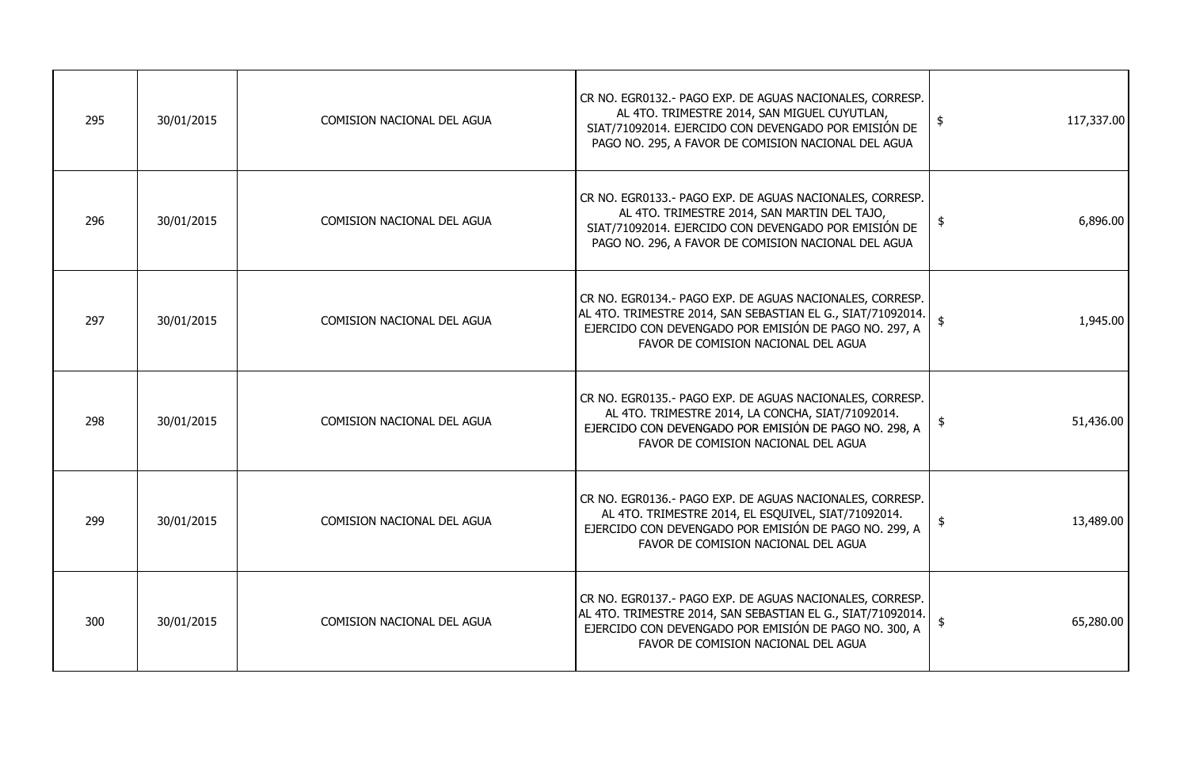| 295 | 30/01/2015 | COMISION NACIONAL DEL AGUA        | CR NO. EGR0132.- PAGO EXP. DE AGUAS NACIONALES, CORRESP.<br>AL 4TO. TRIMESTRE 2014, SAN MIGUEL CUYUTLAN,<br>SIAT/71092014. EJERCIDO CON DEVENGADO POR EMISIÓN DE<br>PAGO NO. 295, A FAVOR DE COMISION NACIONAL DEL AGUA | 117,337.00<br>\$ |
|-----|------------|-----------------------------------|-------------------------------------------------------------------------------------------------------------------------------------------------------------------------------------------------------------------------|------------------|
| 296 | 30/01/2015 | COMISION NACIONAL DEL AGUA        | CR NO. EGR0133.- PAGO EXP. DE AGUAS NACIONALES, CORRESP.<br>AL 4TO. TRIMESTRE 2014, SAN MARTIN DEL TAJO,<br>SIAT/71092014. EJERCIDO CON DEVENGADO POR EMISIÓN DE<br>PAGO NO. 296, A FAVOR DE COMISION NACIONAL DEL AGUA | 6,896.00<br>-\$  |
| 297 | 30/01/2015 | <b>COMISION NACIONAL DEL AGUA</b> | CR NO. EGR0134.- PAGO EXP. DE AGUAS NACIONALES, CORRESP.<br>AL 4TO. TRIMESTRE 2014, SAN SEBASTIAN EL G., SIAT/71092014.<br>EJERCIDO CON DEVENGADO POR EMISIÓN DE PAGO NO. 297, A<br>FAVOR DE COMISION NACIONAL DEL AGUA | 1,945.00         |
| 298 | 30/01/2015 | COMISION NACIONAL DEL AGUA        | CR NO. EGR0135.- PAGO EXP. DE AGUAS NACIONALES, CORRESP.<br>AL 4TO. TRIMESTRE 2014, LA CONCHA, SIAT/71092014.<br>EJERCIDO CON DEVENGADO POR EMISIÓN DE PAGO NO. 298, A<br>FAVOR DE COMISION NACIONAL DEL AGUA           | 51,436.00<br>\$  |
| 299 | 30/01/2015 | COMISION NACIONAL DEL AGUA        | CR NO. EGR0136.- PAGO EXP. DE AGUAS NACIONALES, CORRESP.<br>AL 4TO. TRIMESTRE 2014, EL ESQUIVEL, SIAT/71092014.<br>EJERCIDO CON DEVENGADO POR EMISIÓN DE PAGO NO. 299, A<br>FAVOR DE COMISION NACIONAL DEL AGUA         | 13,489.00        |
| 300 | 30/01/2015 | <b>COMISION NACIONAL DEL AGUA</b> | CR NO. EGR0137.- PAGO EXP. DE AGUAS NACIONALES, CORRESP.<br>AL 4TO. TRIMESTRE 2014, SAN SEBASTIAN EL G., SIAT/71092014.<br>EJERCIDO CON DEVENGADO POR EMISIÓN DE PAGO NO. 300, A<br>FAVOR DE COMISION NACIONAL DEL AGUA | 65,280.00        |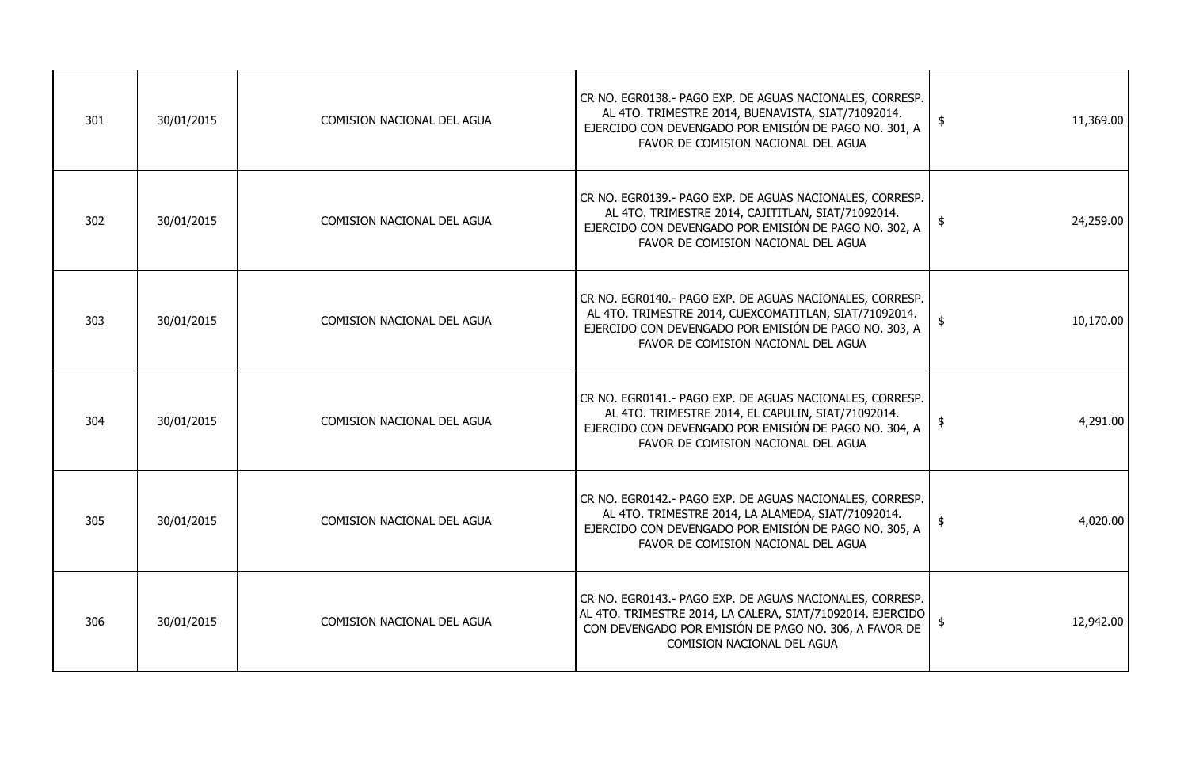| 301 | 30/01/2015 | COMISION NACIONAL DEL AGUA        | CR NO. EGR0138.- PAGO EXP. DE AGUAS NACIONALES, CORRESP.<br>AL 4TO. TRIMESTRE 2014, BUENAVISTA, SIAT/71092014.<br>EJERCIDO CON DEVENGADO POR EMISIÓN DE PAGO NO. 301, A<br>FAVOR DE COMISION NACIONAL DEL AGUA       | \$<br>11,369.00            |
|-----|------------|-----------------------------------|----------------------------------------------------------------------------------------------------------------------------------------------------------------------------------------------------------------------|----------------------------|
| 302 | 30/01/2015 | <b>COMISION NACIONAL DEL AGUA</b> | CR NO. EGR0139.- PAGO EXP. DE AGUAS NACIONALES, CORRESP.<br>AL 4TO. TRIMESTRE 2014, CAJITITLAN, SIAT/71092014.<br>EJERCIDO CON DEVENGADO POR EMISIÓN DE PAGO NO. 302, A<br>FAVOR DE COMISION NACIONAL DEL AGUA       | 24,259.00<br>\$            |
| 303 | 30/01/2015 | <b>COMISION NACIONAL DEL AGUA</b> | CR NO. EGR0140.- PAGO EXP. DE AGUAS NACIONALES, CORRESP.<br>AL 4TO. TRIMESTRE 2014, CUEXCOMATITLAN, SIAT/71092014.<br>EJERCIDO CON DEVENGADO POR EMISIÓN DE PAGO NO. 303, A<br>FAVOR DE COMISION NACIONAL DEL AGUA   | 10,170.00<br>- \$          |
| 304 | 30/01/2015 | <b>COMISION NACIONAL DEL AGUA</b> | CR NO. EGR0141.- PAGO EXP. DE AGUAS NACIONALES, CORRESP.<br>AL 4TO. TRIMESTRE 2014, EL CAPULIN, SIAT/71092014.<br>EJERCIDO CON DEVENGADO POR EMISIÓN DE PAGO NO. 304, A<br>FAVOR DE COMISION NACIONAL DEL AGUA       | 4,291.00<br>\$             |
| 305 | 30/01/2015 | COMISION NACIONAL DEL AGUA        | CR NO. EGR0142.- PAGO EXP. DE AGUAS NACIONALES, CORRESP.<br>AL 4TO. TRIMESTRE 2014, LA ALAMEDA, SIAT/71092014.<br>EJERCIDO CON DEVENGADO POR EMISIÓN DE PAGO NO. 305, A<br>FAVOR DE COMISION NACIONAL DEL AGUA       | 4,020.00                   |
| 306 | 30/01/2015 | <b>COMISION NACIONAL DEL AGUA</b> | CR NO. EGR0143.- PAGO EXP. DE AGUAS NACIONALES, CORRESP.<br>AL 4TO. TRIMESTRE 2014, LA CALERA, SIAT/71092014. EJERCIDO<br>CON DEVENGADO POR EMISIÓN DE PAGO NO. 306, A FAVOR DE<br><b>COMISION NACIONAL DEL AGUA</b> | 12,942.00<br>$\frac{1}{2}$ |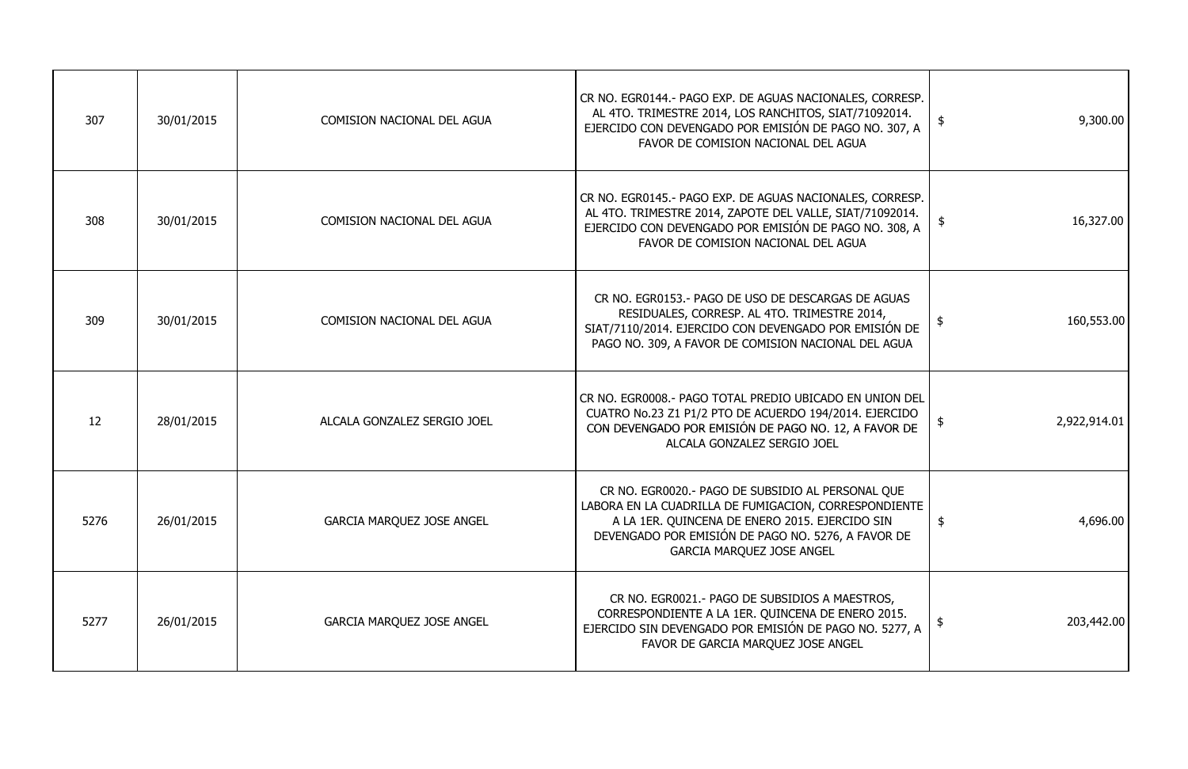| 9,300.00     | \$            | CR NO. EGR0144.- PAGO EXP. DE AGUAS NACIONALES, CORRESP.<br>AL 4TO. TRIMESTRE 2014, LOS RANCHITOS, SIAT/71092014.<br>EJERCIDO CON DEVENGADO POR EMISIÓN DE PAGO NO. 307, A<br>FAVOR DE COMISION NACIONAL DEL AGUA                                      | <b>COMISION NACIONAL DEL AGUA</b> | 30/01/2015 | 307  |
|--------------|---------------|--------------------------------------------------------------------------------------------------------------------------------------------------------------------------------------------------------------------------------------------------------|-----------------------------------|------------|------|
| 16,327.00    | $\frac{1}{2}$ | CR NO. EGR0145.- PAGO EXP. DE AGUAS NACIONALES, CORRESP.<br>AL 4TO. TRIMESTRE 2014, ZAPOTE DEL VALLE, SIAT/71092014.<br>EJERCIDO CON DEVENGADO POR EMISIÓN DE PAGO NO. 308, A<br>FAVOR DE COMISION NACIONAL DEL AGUA                                   | <b>COMISION NACIONAL DEL AGUA</b> | 30/01/2015 | 308  |
| 160,553.00   | \$            | CR NO. EGR0153.- PAGO DE USO DE DESCARGAS DE AGUAS<br>RESIDUALES, CORRESP. AL 4TO. TRIMESTRE 2014,<br>SIAT/7110/2014. EJERCIDO CON DEVENGADO POR EMISIÓN DE<br>PAGO NO. 309, A FAVOR DE COMISION NACIONAL DEL AGUA                                     | <b>COMISION NACIONAL DEL AGUA</b> | 30/01/2015 | 309  |
| 2,922,914.01 |               | CR NO. EGR0008.- PAGO TOTAL PREDIO UBICADO EN UNION DEL<br>CUATRO No.23 Z1 P1/2 PTO DE ACUERDO 194/2014. EJERCIDO<br>CON DEVENGADO POR EMISIÓN DE PAGO NO. 12, A FAVOR DE<br>ALCALA GONZALEZ SERGIO JOEL                                               | ALCALA GONZALEZ SERGIO JOEL       | 28/01/2015 | 12   |
| 4,696.00     | $\frac{1}{2}$ | CR NO. EGR0020.- PAGO DE SUBSIDIO AL PERSONAL QUE<br>LABORA EN LA CUADRILLA DE FUMIGACION, CORRESPONDIENTE<br>A LA 1ER. QUINCENA DE ENERO 2015. EJERCIDO SIN<br>DEVENGADO POR EMISIÓN DE PAGO NO. 5276, A FAVOR DE<br><b>GARCIA MARQUEZ JOSE ANGEL</b> | <b>GARCIA MARQUEZ JOSE ANGEL</b>  | 26/01/2015 | 5276 |
| 203,442.00   | $\frac{1}{2}$ | CR NO. EGR0021.- PAGO DE SUBSIDIOS A MAESTROS,<br>CORRESPONDIENTE A LA 1ER. QUINCENA DE ENERO 2015.<br>EJERCIDO SIN DEVENGADO POR EMISIÓN DE PAGO NO. 5277, A<br>FAVOR DE GARCIA MARQUEZ JOSE ANGEL                                                    | <b>GARCIA MARQUEZ JOSE ANGEL</b>  | 26/01/2015 | 5277 |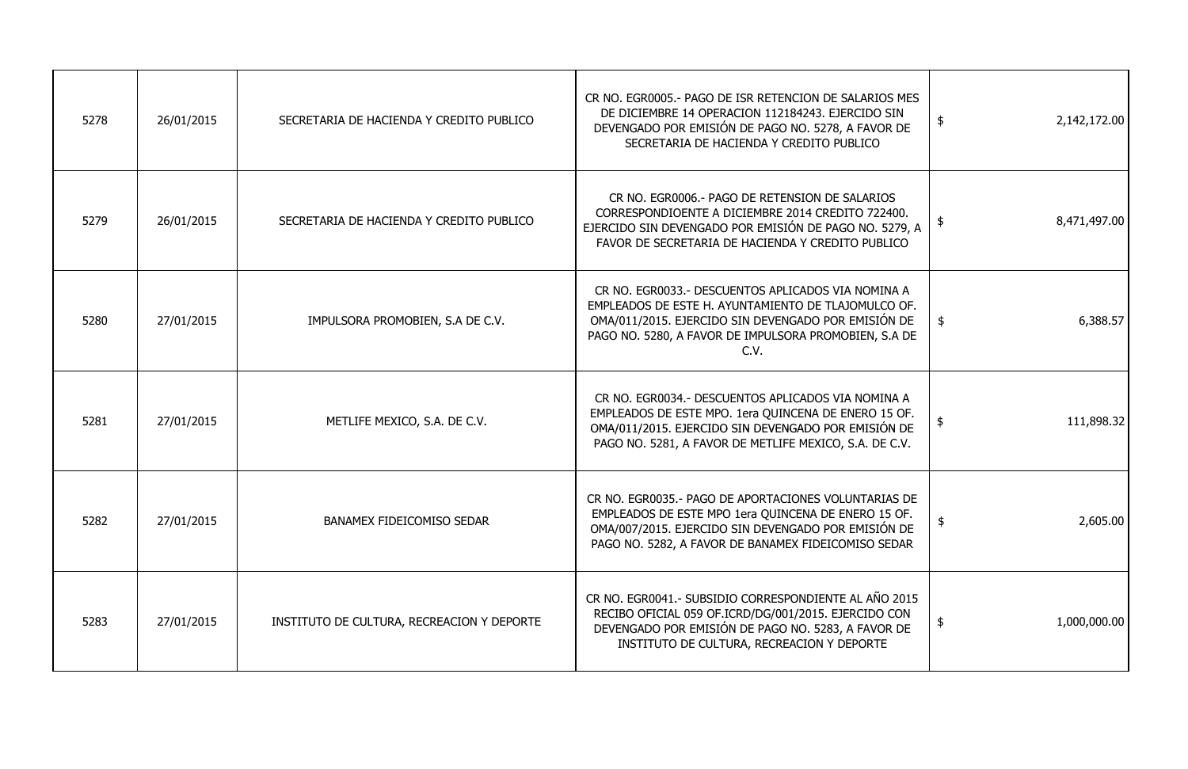| 5278 | 26/01/2015 | SECRETARIA DE HACIENDA Y CREDITO PUBLICO   | CR NO. EGR0005.- PAGO DE ISR RETENCION DE SALARIOS MES<br>DE DICIEMBRE 14 OPERACION 112184243. EJERCIDO SIN<br>DEVENGADO POR EMISIÓN DE PAGO NO. 5278, A FAVOR DE<br>SECRETARIA DE HACIENDA Y CREDITO PUBLICO                     | \$            | 2,142,172.00 |
|------|------------|--------------------------------------------|-----------------------------------------------------------------------------------------------------------------------------------------------------------------------------------------------------------------------------------|---------------|--------------|
| 5279 | 26/01/2015 | SECRETARIA DE HACIENDA Y CREDITO PUBLICO   | CR NO. EGR0006.- PAGO DE RETENSION DE SALARIOS<br>CORRESPONDIOENTE A DICIEMBRE 2014 CREDITO 722400.<br>EJERCIDO SIN DEVENGADO POR EMISIÓN DE PAGO NO. 5279, A<br>FAVOR DE SECRETARIA DE HACIENDA Y CREDITO PUBLICO                | \$            | 8,471,497.00 |
| 5280 | 27/01/2015 | IMPULSORA PROMOBIEN, S.A DE C.V.           | CR NO. EGR0033.- DESCUENTOS APLICADOS VIA NOMINA A<br>EMPLEADOS DE ESTE H. AYUNTAMIENTO DE TLAJOMULCO OF.<br>OMA/011/2015. EJERCIDO SIN DEVENGADO POR EMISIÓN DE<br>PAGO NO. 5280, A FAVOR DE IMPULSORA PROMOBIEN, S.A DE<br>C.V. | $\frac{1}{2}$ | 6,388.57     |
| 5281 | 27/01/2015 | METLIFE MEXICO, S.A. DE C.V.               | CR NO. EGR0034.- DESCUENTOS APLICADOS VIA NOMINA A<br>EMPLEADOS DE ESTE MPO. 1era QUINCENA DE ENERO 15 OF.<br>OMA/011/2015. EJERCIDO SIN DEVENGADO POR EMISIÓN DE<br>PAGO NO. 5281, A FAVOR DE METLIFE MEXICO, S.A. DE C.V.       |               | 111,898.32   |
| 5282 | 27/01/2015 | <b>BANAMEX FIDEICOMISO SEDAR</b>           | CR NO. EGR0035.- PAGO DE APORTACIONES VOLUNTARIAS DE<br>EMPLEADOS DE ESTE MPO 1era QUINCENA DE ENERO 15 OF.<br>OMA/007/2015. EJERCIDO SIN DEVENGADO POR EMISIÓN DE<br>PAGO NO. 5282, A FAVOR DE BANAMEX FIDEICOMISO SEDAR         | $\frac{1}{2}$ | 2,605.00     |
| 5283 | 27/01/2015 | INSTITUTO DE CULTURA, RECREACION Y DEPORTE | CR NO. EGR0041.- SUBSIDIO CORRESPONDIENTE AL AÑO 2015<br>RECIBO OFICIAL 059 OF.ICRD/DG/001/2015. EJERCIDO CON<br>DEVENGADO POR EMISIÓN DE PAGO NO. 5283, A FAVOR DE<br>INSTITUTO DE CULTURA, RECREACION Y DEPORTE                 | $\frac{1}{2}$ | 1,000,000.00 |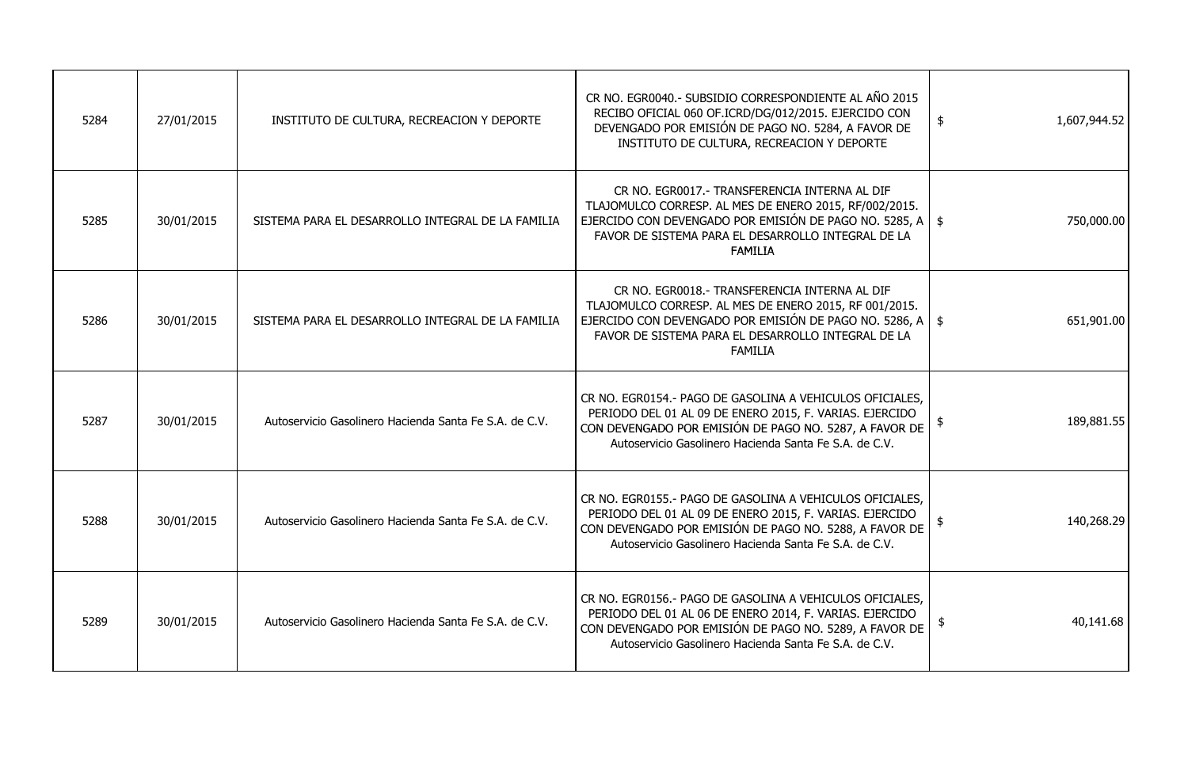| 5284 | 27/01/2015 | INSTITUTO DE CULTURA, RECREACION Y DEPORTE             | CR NO. EGR0040.- SUBSIDIO CORRESPONDIENTE AL AÑO 2015<br>RECIBO OFICIAL 060 OF.ICRD/DG/012/2015. EJERCIDO CON<br>DEVENGADO POR EMISIÓN DE PAGO NO. 5284, A FAVOR DE<br>INSTITUTO DE CULTURA, RECREACION Y DEPORTE                                        | 1,607,944.52<br>\$ |
|------|------------|--------------------------------------------------------|----------------------------------------------------------------------------------------------------------------------------------------------------------------------------------------------------------------------------------------------------------|--------------------|
| 5285 | 30/01/2015 | SISTEMA PARA EL DESARROLLO INTEGRAL DE LA FAMILIA      | CR NO. EGR0017.- TRANSFERENCIA INTERNA AL DIF<br>TLAJOMULCO CORRESP. AL MES DE ENERO 2015, RF/002/2015.<br>EJERCIDO CON DEVENGADO POR EMISIÓN DE PAGO NO. 5285, A $\parallel$ \$<br>FAVOR DE SISTEMA PARA EL DESARROLLO INTEGRAL DE LA<br><b>FAMILIA</b> | 750,000.00         |
| 5286 | 30/01/2015 | SISTEMA PARA EL DESARROLLO INTEGRAL DE LA FAMILIA      | CR NO. EGR0018.- TRANSFERENCIA INTERNA AL DIF<br>TLAJOMULCO CORRESP. AL MES DE ENERO 2015, RF 001/2015.<br>EJERCIDO CON DEVENGADO POR EMISIÓN DE PAGO NO. 5286, A $\vert$ \$<br>FAVOR DE SISTEMA PARA EL DESARROLLO INTEGRAL DE LA<br><b>FAMILIA</b>     | 651,901.00         |
| 5287 | 30/01/2015 | Autoservicio Gasolinero Hacienda Santa Fe S.A. de C.V. | CR NO. EGR0154.- PAGO DE GASOLINA A VEHICULOS OFICIALES,<br>PERIODO DEL 01 AL 09 DE ENERO 2015, F. VARIAS. EJERCIDO<br>CON DEVENGADO POR EMISIÓN DE PAGO NO. 5287, A FAVOR DE<br>Autoservicio Gasolinero Hacienda Santa Fe S.A. de C.V.                  | 189,881.55         |
| 5288 | 30/01/2015 | Autoservicio Gasolinero Hacienda Santa Fe S.A. de C.V. | CR NO. EGR0155.- PAGO DE GASOLINA A VEHICULOS OFICIALES,<br>PERIODO DEL 01 AL 09 DE ENERO 2015, F. VARIAS. EJERCIDO<br>CON DEVENGADO POR EMISIÓN DE PAGO NO. 5288, A FAVOR DE<br>Autoservicio Gasolinero Hacienda Santa Fe S.A. de C.V.                  | 140,268.29         |
| 5289 | 30/01/2015 | Autoservicio Gasolinero Hacienda Santa Fe S.A. de C.V. | CR NO. EGR0156.- PAGO DE GASOLINA A VEHICULOS OFICIALES,<br>PERIODO DEL 01 AL 06 DE ENERO 2014, F. VARIAS. EJERCIDO<br>CON DEVENGADO POR EMISIÓN DE PAGO NO. 5289, A FAVOR DE<br>Autoservicio Gasolinero Hacienda Santa Fe S.A. de C.V.                  | 40,141.68          |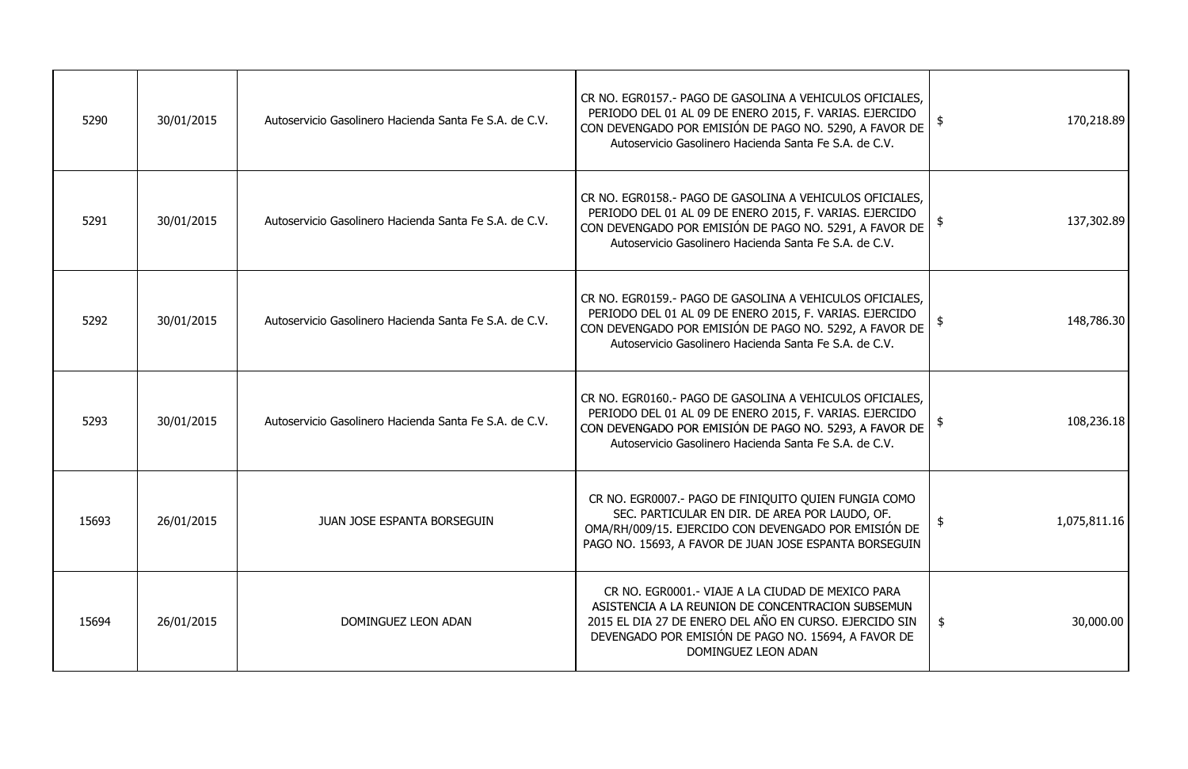| 5290  | 30/01/2015 | Autoservicio Gasolinero Hacienda Santa Fe S.A. de C.V. | CR NO. EGR0157.- PAGO DE GASOLINA A VEHICULOS OFICIALES,<br>PERIODO DEL 01 AL 09 DE ENERO 2015, F. VARIAS. EJERCIDO<br>CON DEVENGADO POR EMISIÓN DE PAGO NO. 5290, A FAVOR DE<br>Autoservicio Gasolinero Hacienda Santa Fe S.A. de C.V.        | 170,218.89      |
|-------|------------|--------------------------------------------------------|------------------------------------------------------------------------------------------------------------------------------------------------------------------------------------------------------------------------------------------------|-----------------|
| 5291  | 30/01/2015 | Autoservicio Gasolinero Hacienda Santa Fe S.A. de C.V. | CR NO. EGR0158.- PAGO DE GASOLINA A VEHICULOS OFICIALES,<br>PERIODO DEL 01 AL 09 DE ENERO 2015, F. VARIAS. EJERCIDO<br>CON DEVENGADO POR EMISIÓN DE PAGO NO. 5291, A FAVOR DE<br>Autoservicio Gasolinero Hacienda Santa Fe S.A. de C.V.        | 137,302.89      |
| 5292  | 30/01/2015 | Autoservicio Gasolinero Hacienda Santa Fe S.A. de C.V. | CR NO. EGR0159.- PAGO DE GASOLINA A VEHICULOS OFICIALES,<br>PERIODO DEL 01 AL 09 DE ENERO 2015, F. VARIAS. EJERCIDO<br>CON DEVENGADO POR EMISIÓN DE PAGO NO. 5292, A FAVOR DE<br>Autoservicio Gasolinero Hacienda Santa Fe S.A. de C.V.        | 148,786.30      |
| 5293  | 30/01/2015 | Autoservicio Gasolinero Hacienda Santa Fe S.A. de C.V. | CR NO. EGR0160.- PAGO DE GASOLINA A VEHICULOS OFICIALES,<br>PERIODO DEL 01 AL 09 DE ENERO 2015, F. VARIAS. EJERCIDO<br>CON DEVENGADO POR EMISIÓN DE PAGO NO. 5293, A FAVOR DE<br>Autoservicio Gasolinero Hacienda Santa Fe S.A. de C.V.        | 108,236.18      |
| 15693 | 26/01/2015 | JUAN JOSE ESPANTA BORSEGUIN                            | CR NO. EGR0007.- PAGO DE FINIQUITO QUIEN FUNGIA COMO<br>SEC. PARTICULAR EN DIR. DE AREA POR LAUDO, OF.<br>OMA/RH/009/15. EJERCIDO CON DEVENGADO POR EMISIÓN DE<br>PAGO NO. 15693, A FAVOR DE JUAN JOSE ESPANTA BORSEGUIN                       | 1,075,811.16    |
| 15694 | 26/01/2015 | DOMINGUEZ LEON ADAN                                    | CR NO. EGR0001.- VIAJE A LA CIUDAD DE MEXICO PARA<br>ASISTENCIA A LA REUNION DE CONCENTRACION SUBSEMUN<br>2015 EL DIA 27 DE ENERO DEL AÑO EN CURSO. EJERCIDO SIN<br>DEVENGADO POR EMISIÓN DE PAGO NO. 15694, A FAVOR DE<br>DOMINGUEZ LEON ADAN | 30,000.00<br>\$ |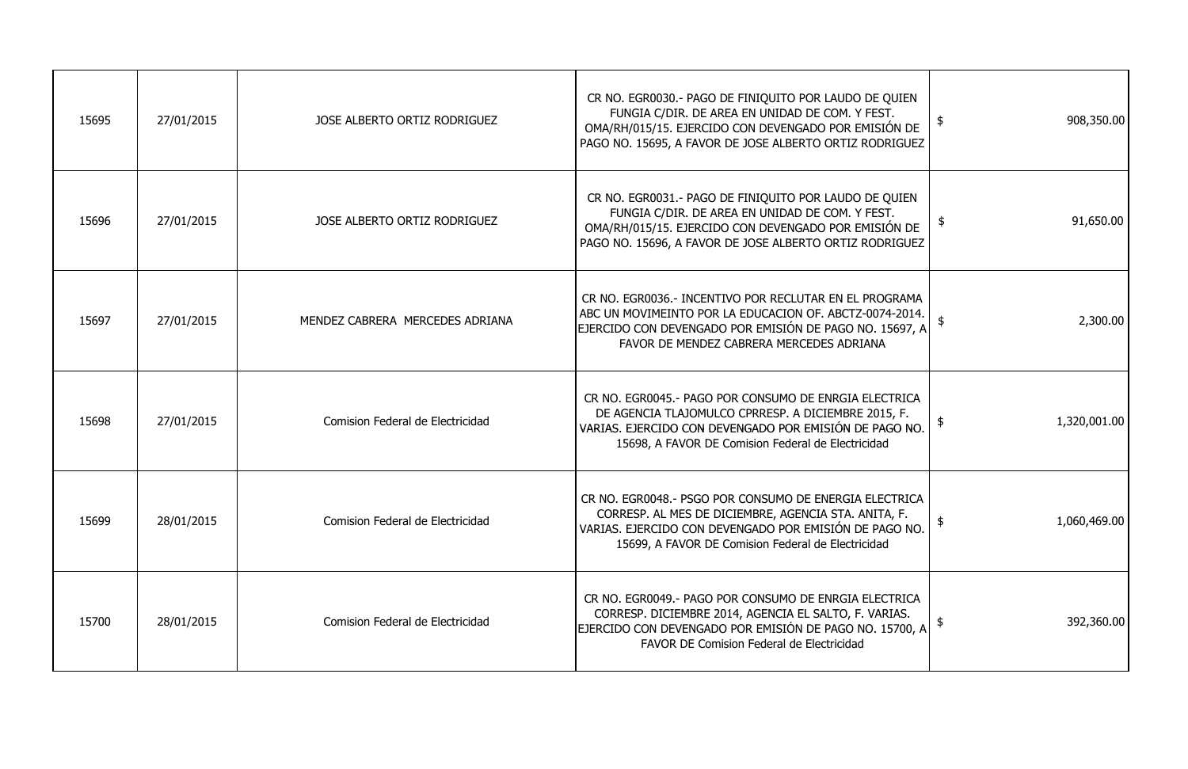| 15695 | 27/01/2015 | JOSE ALBERTO ORTIZ RODRIGUEZ     | CR NO. EGR0030.- PAGO DE FINIQUITO POR LAUDO DE QUIEN<br>FUNGIA C/DIR. DE AREA EN UNIDAD DE COM. Y FEST.<br>OMA/RH/015/15. EJERCIDO CON DEVENGADO POR EMISIÓN DE<br>PAGO NO. 15695, A FAVOR DE JOSE ALBERTO ORTIZ RODRIGUEZ    | 908,350.00<br>\$           |
|-------|------------|----------------------------------|--------------------------------------------------------------------------------------------------------------------------------------------------------------------------------------------------------------------------------|----------------------------|
| 15696 | 27/01/2015 | JOSE ALBERTO ORTIZ RODRIGUEZ     | CR NO. EGR0031.- PAGO DE FINIQUITO POR LAUDO DE QUIEN<br>FUNGIA C/DIR. DE AREA EN UNIDAD DE COM. Y FEST.<br>OMA/RH/015/15. EJERCIDO CON DEVENGADO POR EMISIÓN DE<br>PAGO NO. 15696, A FAVOR DE JOSE ALBERTO ORTIZ RODRIGUEZ    | 91,650.00<br>$\frac{1}{2}$ |
| 15697 | 27/01/2015 | MENDEZ CABRERA MERCEDES ADRIANA  | CR NO. EGR0036.- INCENTIVO POR RECLUTAR EN EL PROGRAMA<br>ABC UN MOVIMEINTO POR LA EDUCACION OF. ABCTZ-0074-2014.<br>EJERCIDO CON DEVENGADO POR EMISIÓN DE PAGO NO. 15697, A<br>FAVOR DE MENDEZ CABRERA MERCEDES ADRIANA       | 2,300.00                   |
| 15698 | 27/01/2015 | Comision Federal de Electricidad | CR NO. EGR0045.- PAGO POR CONSUMO DE ENRGIA ELECTRICA<br>DE AGENCIA TLAJOMULCO CPRRESP. A DICIEMBRE 2015, F.<br>VARIAS. EJERCIDO CON DEVENGADO POR EMISIÓN DE PAGO NO.<br>15698, A FAVOR DE Comision Federal de Electricidad   | 1,320,001.00               |
| 15699 | 28/01/2015 | Comision Federal de Electricidad | CR NO. EGR0048.- PSGO POR CONSUMO DE ENERGIA ELECTRICA<br>CORRESP. AL MES DE DICIEMBRE, AGENCIA STA. ANITA, F.<br>VARIAS. EJERCIDO CON DEVENGADO POR EMISIÓN DE PAGO NO.<br>15699, A FAVOR DE Comision Federal de Electricidad | 1,060,469.00               |
| 15700 | 28/01/2015 | Comision Federal de Electricidad | CR NO. EGR0049. - PAGO POR CONSUMO DE ENRGIA ELECTRICA<br>CORRESP. DICIEMBRE 2014, AGENCIA EL SALTO, F. VARIAS.<br>EJERCIDO CON DEVENGADO POR EMISIÓN DE PAGO NO. 15700, A<br><b>FAVOR DE Comision Federal de Electricidad</b> | 392,360.00                 |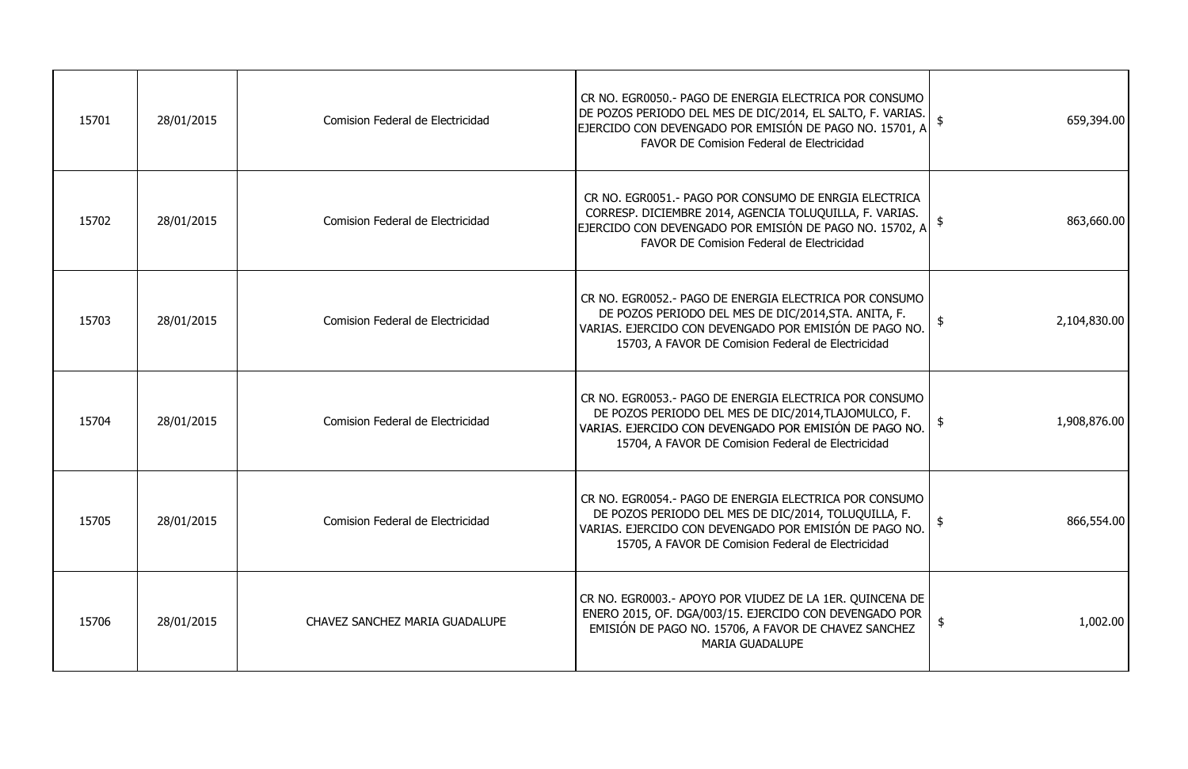| 15701 | 28/01/2015 | Comision Federal de Electricidad | CR NO. EGR0050.- PAGO DE ENERGIA ELECTRICA POR CONSUMO<br>DE POZOS PERIODO DEL MES DE DIC/2014, EL SALTO, F. VARIAS.  <br>EJERCIDO CON DEVENGADO POR EMISIÓN DE PAGO NO. 15701, A<br>FAVOR DE Comision Federal de Electricidad | 659,394.00                    |
|-------|------------|----------------------------------|--------------------------------------------------------------------------------------------------------------------------------------------------------------------------------------------------------------------------------|-------------------------------|
| 15702 | 28/01/2015 | Comision Federal de Electricidad | CR NO. EGR0051.- PAGO POR CONSUMO DE ENRGIA ELECTRICA<br>CORRESP. DICIEMBRE 2014, AGENCIA TOLUQUILLA, F. VARIAS.<br>EJERCIDO CON DEVENGADO POR EMISIÓN DE PAGO NO. 15702, A<br>FAVOR DE Comision Federal de Electricidad       | 863,660.00                    |
| 15703 | 28/01/2015 | Comision Federal de Electricidad | CR NO. EGR0052.- PAGO DE ENERGIA ELECTRICA POR CONSUMO<br>DE POZOS PERIODO DEL MES DE DIC/2014, STA. ANITA, F.<br>VARIAS. EJERCIDO CON DEVENGADO POR EMISIÓN DE PAGO NO.<br>15703, A FAVOR DE Comision Federal de Electricidad | $\frac{1}{2}$<br>2,104,830.00 |
| 15704 | 28/01/2015 | Comision Federal de Electricidad | CR NO. EGR0053.- PAGO DE ENERGIA ELECTRICA POR CONSUMO<br>DE POZOS PERIODO DEL MES DE DIC/2014, TLAJOMULCO, F.<br>VARIAS. EJERCIDO CON DEVENGADO POR EMISIÓN DE PAGO NO.<br>15704, A FAVOR DE Comision Federal de Electricidad | 1,908,876.00                  |
| 15705 | 28/01/2015 | Comision Federal de Electricidad | CR NO. EGR0054.- PAGO DE ENERGIA ELECTRICA POR CONSUMO<br>DE POZOS PERIODO DEL MES DE DIC/2014, TOLUQUILLA, F.<br>VARIAS. EJERCIDO CON DEVENGADO POR EMISIÓN DE PAGO NO.<br>15705, A FAVOR DE Comision Federal de Electricidad | 866,554.00                    |
| 15706 | 28/01/2015 | CHAVEZ SANCHEZ MARIA GUADALUPE   | CR NO. EGR0003.- APOYO POR VIUDEZ DE LA 1ER. QUINCENA DE<br>ENERO 2015, OF. DGA/003/15. EJERCIDO CON DEVENGADO POR<br>EMISIÓN DE PAGO NO. 15706, A FAVOR DE CHAVEZ SANCHEZ<br><b>MARIA GUADALUPE</b>                           | 1,002.00<br>$\frac{1}{2}$     |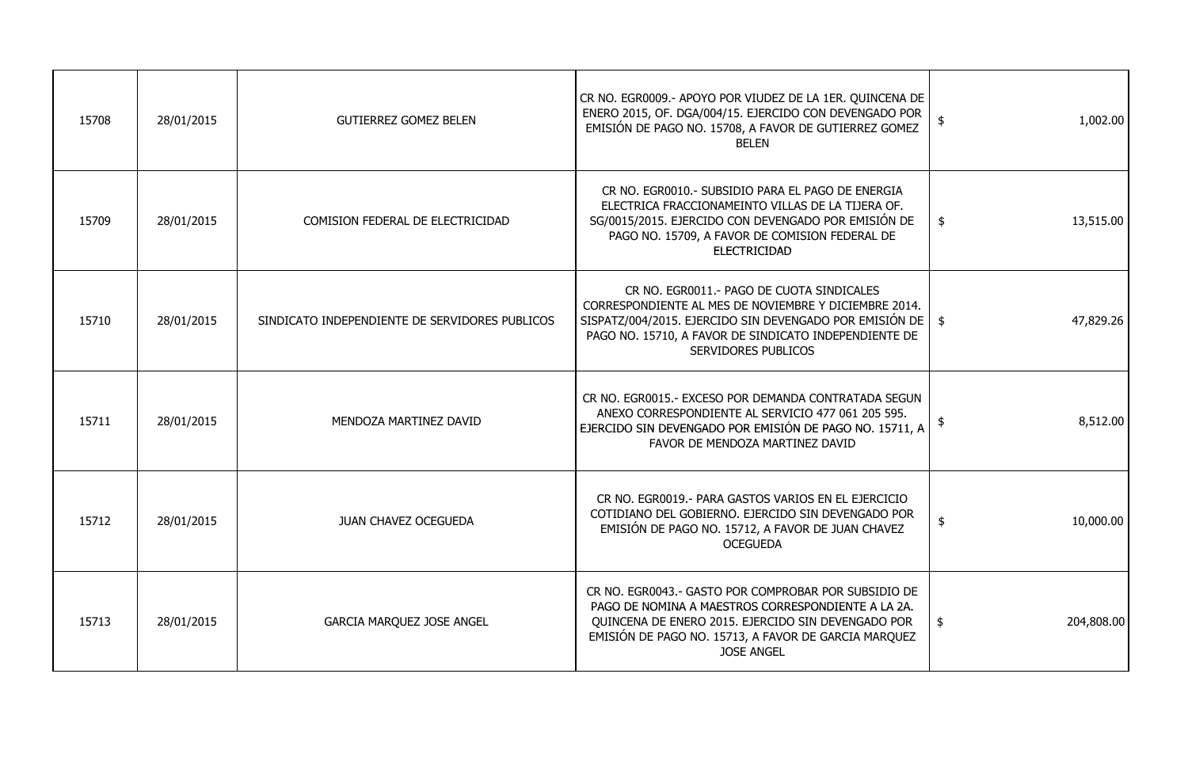| 15708 | 28/01/2015 | <b>GUTIERREZ GOMEZ BELEN</b>                   | CR NO. EGR0009.- APOYO POR VIUDEZ DE LA 1ER. QUINCENA DE<br>ENERO 2015, OF. DGA/004/15. EJERCIDO CON DEVENGADO POR<br>EMISIÓN DE PAGO NO. 15708, A FAVOR DE GUTIERREZ GOMEZ<br><b>BELEN</b>                                                               | 1,002.00<br>$\frac{1}{2}$           |
|-------|------------|------------------------------------------------|-----------------------------------------------------------------------------------------------------------------------------------------------------------------------------------------------------------------------------------------------------------|-------------------------------------|
| 15709 | 28/01/2015 | COMISION FEDERAL DE ELECTRICIDAD               | CR NO. EGR0010.- SUBSIDIO PARA EL PAGO DE ENERGIA<br>ELECTRICA FRACCIONAMEINTO VILLAS DE LA TIJERA OF.<br>SG/0015/2015. EJERCIDO CON DEVENGADO POR EMISIÓN DE<br>PAGO NO. 15709, A FAVOR DE COMISION FEDERAL DE<br><b>ELECTRICIDAD</b>                    | $\frac{1}{2}$<br>13,515.00          |
| 15710 | 28/01/2015 | SINDICATO INDEPENDIENTE DE SERVIDORES PUBLICOS | CR NO. EGR0011.- PAGO DE CUOTA SINDICALES<br>CORRESPONDIENTE AL MES DE NOVIEMBRE Y DICIEMBRE 2014.<br>SISPATZ/004/2015. EJERCIDO SIN DEVENGADO POR EMISIÓN DE   \$<br>PAGO NO. 15710, A FAVOR DE SINDICATO INDEPENDIENTE DE<br><b>SERVIDORES PUBLICOS</b> | 47,829.26                           |
| 15711 | 28/01/2015 | MENDOZA MARTINEZ DAVID                         | CR NO. EGR0015.- EXCESO POR DEMANDA CONTRATADA SEGUN<br>ANEXO CORRESPONDIENTE AL SERVICIO 477 061 205 595.<br>EJERCIDO SIN DEVENGADO POR EMISIÓN DE PAGO NO. 15711, A<br>FAVOR DE MENDOZA MARTINEZ DAVID                                                  | 8,512.00<br>$\frac{1}{2}$           |
| 15712 | 28/01/2015 | <b>JUAN CHAVEZ OCEGUEDA</b>                    | CR NO. EGR0019. - PARA GASTOS VARIOS EN EL EJERCICIO<br>COTIDIANO DEL GOBIERNO. EJERCIDO SIN DEVENGADO POR<br>EMISIÓN DE PAGO NO. 15712, A FAVOR DE JUAN CHAVEZ<br><b>OCEGUEDA</b>                                                                        | 10,000.00<br>$\boldsymbol{\varphi}$ |
| 15713 | 28/01/2015 | <b>GARCIA MARQUEZ JOSE ANGEL</b>               | CR NO. EGR0043.- GASTO POR COMPROBAR POR SUBSIDIO DE<br>PAGO DE NOMINA A MAESTROS CORRESPONDIENTE A LA 2A.<br>QUINCENA DE ENERO 2015. EJERCIDO SIN DEVENGADO POR<br>EMISIÓN DE PAGO NO. 15713, A FAVOR DE GARCIA MARQUEZ<br><b>JOSE ANGEL</b>             | 204,808.00<br>\$                    |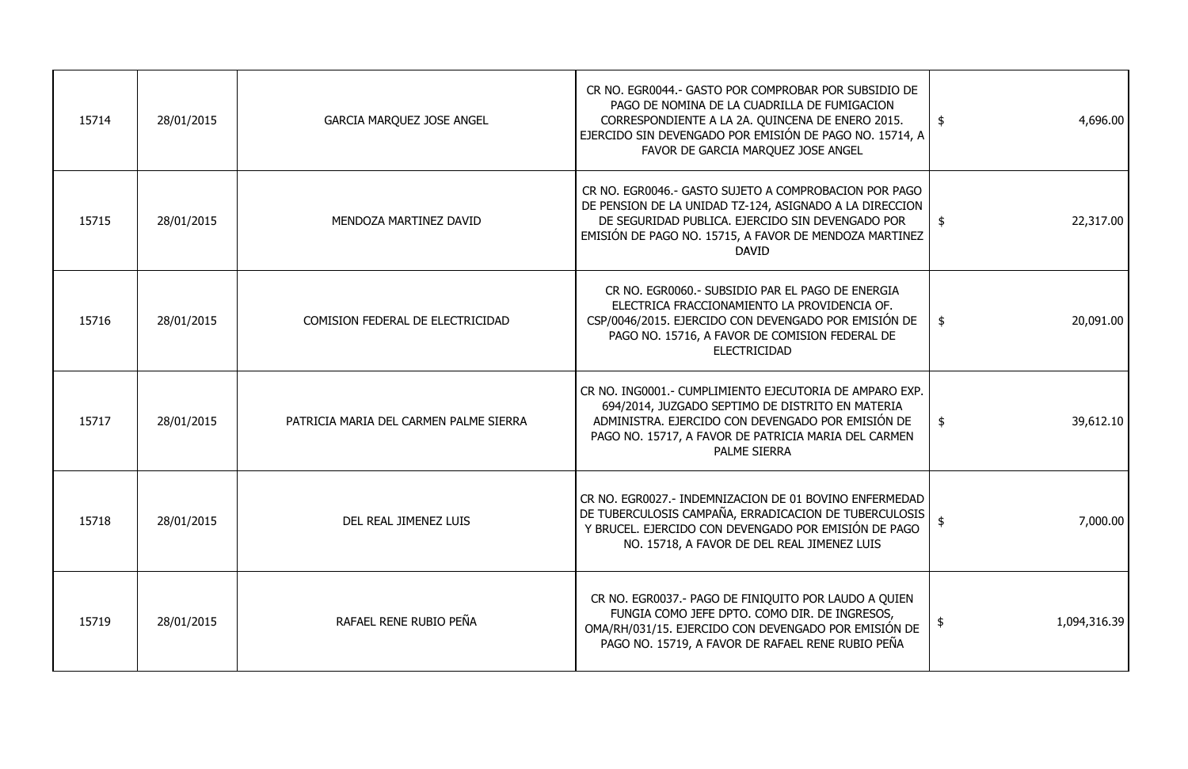| $\frac{1}{2}$<br>4,696.00     | CR NO. EGR0044.- GASTO POR COMPROBAR POR SUBSIDIO DE<br>PAGO DE NOMINA DE LA CUADRILLA DE FUMIGACION<br>CORRESPONDIENTE A LA 2A. QUINCENA DE ENERO 2015.<br>EJERCIDO SIN DEVENGADO POR EMISIÓN DE PAGO NO. 15714, A<br>FAVOR DE GARCIA MARQUEZ JOSE ANGEL                | <b>GARCIA MARQUEZ JOSE ANGEL</b>       | 28/01/2015 | 15714 |
|-------------------------------|--------------------------------------------------------------------------------------------------------------------------------------------------------------------------------------------------------------------------------------------------------------------------|----------------------------------------|------------|-------|
| 22,317.00<br>\$               | CR NO. EGR0046.- GASTO SUJETO A COMPROBACION POR PAGO<br>DE PENSION DE LA UNIDAD TZ-124, ASIGNADO A LA DIRECCION<br>DE SEGURIDAD PUBLICA. EJERCIDO SIN DEVENGADO POR<br>MENDOZA MARTINEZ DAVID<br>EMISIÓN DE PAGO NO. 15715, A FAVOR DE MENDOZA MARTINEZ<br><b>DAVID</b> |                                        | 28/01/2015 | 15715 |
| \$<br>20,091.00               | CR NO. EGR0060.- SUBSIDIO PAR EL PAGO DE ENERGIA<br>ELECTRICA FRACCIONAMIENTO LA PROVIDENCIA OF.<br>CSP/0046/2015. EJERCIDO CON DEVENGADO POR EMISIÓN DE<br>PAGO NO. 15716, A FAVOR DE COMISION FEDERAL DE<br><b>ELECTRICIDAD</b>                                        | COMISION FEDERAL DE ELECTRICIDAD       | 28/01/2015 | 15716 |
| 39,612.10<br>$\frac{1}{2}$    | CR NO. ING0001.- CUMPLIMIENTO EJECUTORIA DE AMPARO EXP.<br>694/2014, JUZGADO SEPTIMO DE DISTRITO EN MATERIA<br>ADMINISTRA. EJERCIDO CON DEVENGADO POR EMISIÓN DE<br>PAGO NO. 15717, A FAVOR DE PATRICIA MARIA DEL CARMEN<br><b>PALME SIERRA</b>                          | PATRICIA MARIA DEL CARMEN PALME SIERRA | 28/01/2015 | 15717 |
| 7,000.00<br>-\$               | CR NO. EGR0027.- INDEMNIZACION DE 01 BOVINO ENFERMEDAD<br>DE TUBERCULOSIS CAMPAÑA, ERRADICACION DE TUBERCULOSIS<br>Y BRUCEL. EJERCIDO CON DEVENGADO POR EMISIÓN DE PAGO<br>NO. 15718, A FAVOR DE DEL REAL JIMENEZ LUIS                                                   | DEL REAL JIMENEZ LUIS                  | 28/01/2015 | 15718 |
| 1,094,316.39<br>$\frac{1}{2}$ | CR NO. EGR0037.- PAGO DE FINIQUITO POR LAUDO A QUIEN<br>FUNGIA COMO JEFE DPTO. COMO DIR. DE INGRESOS,<br>OMA/RH/031/15. EJERCIDO CON DEVENGADO POR EMISIÓN DE<br>PAGO NO. 15719, A FAVOR DE RAFAEL RENE RUBIO PEÑA                                                       | RAFAEL RENE RUBIO PEÑA                 | 28/01/2015 | 15719 |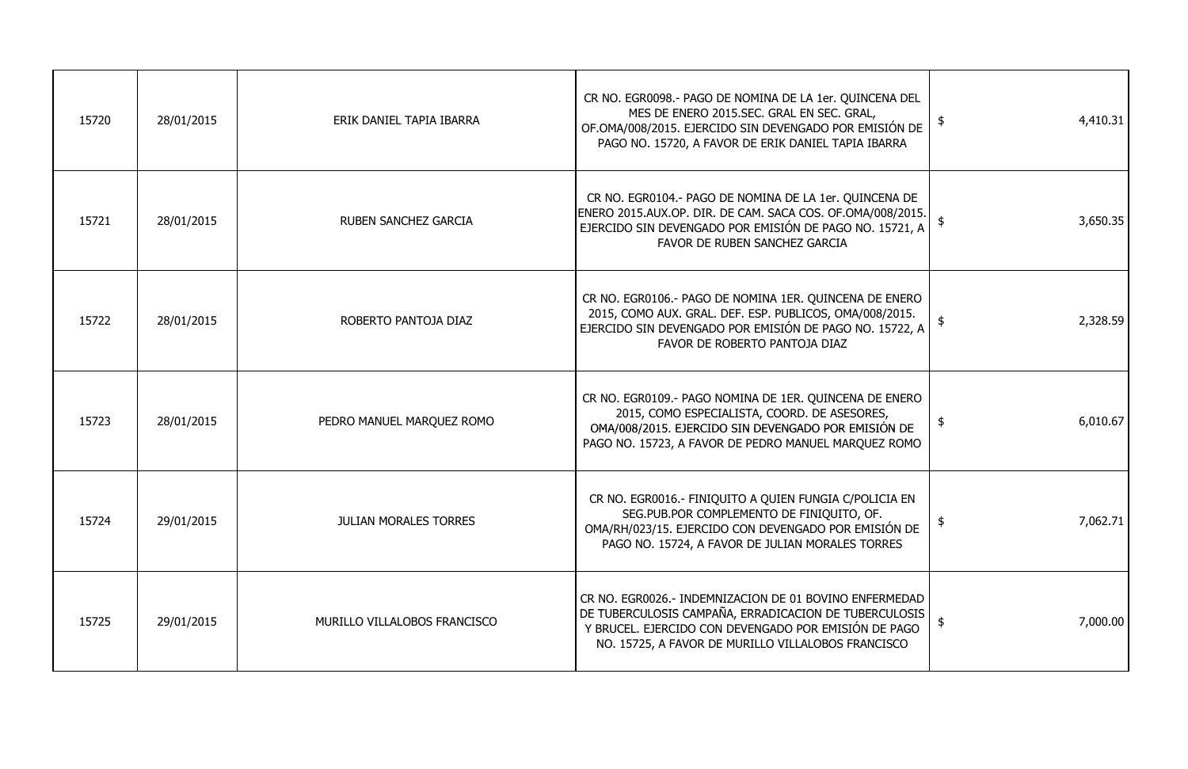| 15720 | 28/01/2015 | ERIK DANIEL TAPIA IBARRA     | CR NO. EGR0098.- PAGO DE NOMINA DE LA 1er. QUINCENA DEL<br>MES DE ENERO 2015.SEC. GRAL EN SEC. GRAL,<br>OF.OMA/008/2015. EJERCIDO SIN DEVENGADO POR EMISIÓN DE<br>PAGO NO. 15720, A FAVOR DE ERIK DANIEL TAPIA IBARRA         | 4,410.31                   |
|-------|------------|------------------------------|-------------------------------------------------------------------------------------------------------------------------------------------------------------------------------------------------------------------------------|----------------------------|
| 15721 | 28/01/2015 | <b>RUBEN SANCHEZ GARCIA</b>  | CR NO. EGR0104.- PAGO DE NOMINA DE LA 1er. QUINCENA DE<br>ENERO 2015.AUX.OP. DIR. DE CAM. SACA COS. OF.OMA/008/2015.<br>EJERCIDO SIN DEVENGADO POR EMISIÓN DE PAGO NO. 15721, A<br>FAVOR DE RUBEN SANCHEZ GARCIA              | 3,650.35                   |
| 15722 | 28/01/2015 | ROBERTO PANTOJA DIAZ         | CR NO. EGR0106.- PAGO DE NOMINA 1ER. QUINCENA DE ENERO<br>2015, COMO AUX. GRAL. DEF. ESP. PUBLICOS, OMA/008/2015.<br>EJERCIDO SIN DEVENGADO POR EMISIÓN DE PAGO NO. 15722, A<br>FAVOR DE ROBERTO PANTOJA DIAZ                 | 2,328.59                   |
| 15723 | 28/01/2015 | PEDRO MANUEL MARQUEZ ROMO    | CR NO. EGR0109.- PAGO NOMINA DE 1ER. QUINCENA DE ENERO<br>2015, COMO ESPECIALISTA, COORD. DE ASESORES,<br>OMA/008/2015. EJERCIDO SIN DEVENGADO POR EMISIÓN DE<br>PAGO NO. 15723, A FAVOR DE PEDRO MANUEL MARQUEZ ROMO         | 6,010.67<br>$\frac{1}{2}$  |
| 15724 | 29/01/2015 | <b>JULIAN MORALES TORRES</b> | CR NO. EGR0016.- FINIQUITO A QUIEN FUNGIA C/POLICIA EN<br>SEG.PUB.POR COMPLEMENTO DE FINIQUITO, OF.<br>OMA/RH/023/15. EJERCIDO CON DEVENGADO POR EMISIÓN DE<br>PAGO NO. 15724, A FAVOR DE JULIAN MORALES TORRES               | 7,062.71                   |
| 15725 | 29/01/2015 | MURILLO VILLALOBOS FRANCISCO | CR NO. EGR0026.- INDEMNIZACION DE 01 BOVINO ENFERMEDAD<br>DE TUBERCULOSIS CAMPAÑA, ERRADICACION DE TUBERCULOSIS<br>Y BRUCEL. EJERCIDO CON DEVENGADO POR EMISIÓN DE PAGO<br>NO. 15725, A FAVOR DE MURILLO VILLALOBOS FRANCISCO | 7,000.00<br>$\mathfrak{p}$ |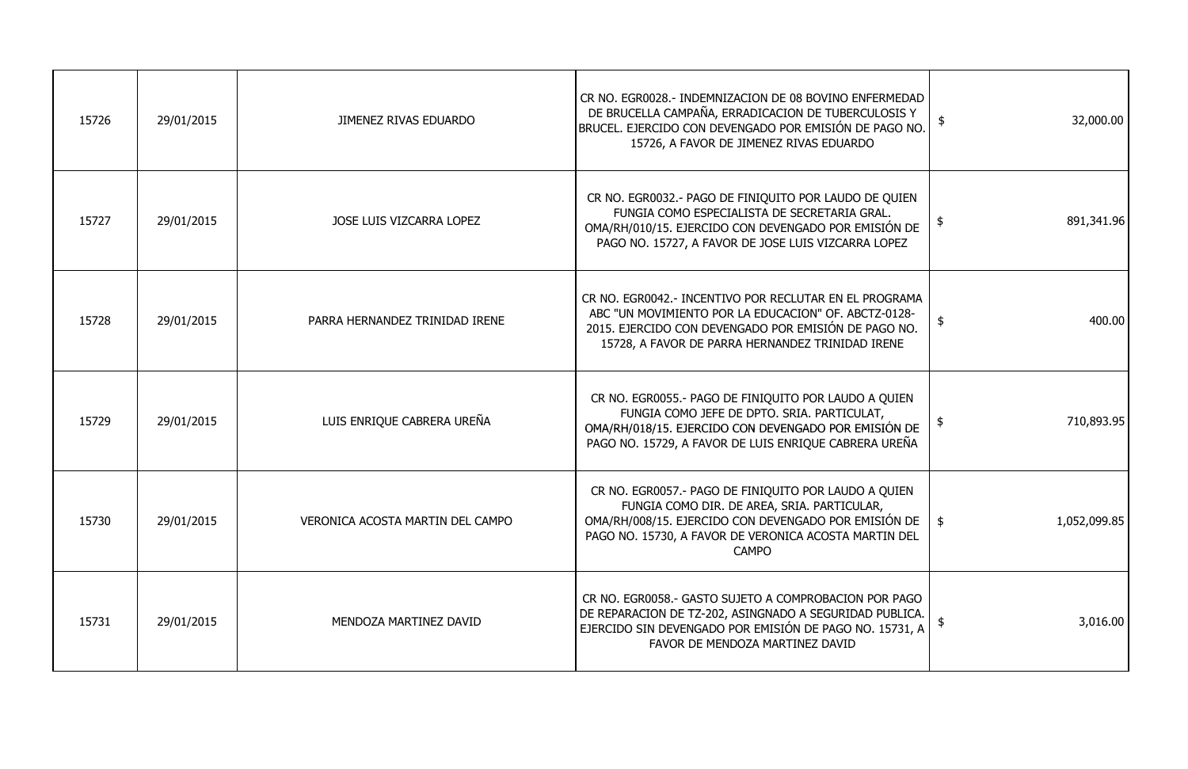| 15726 | 29/01/2015 | <b>JIMENEZ RIVAS EDUARDO</b>     | CR NO. EGR0028.- INDEMNIZACION DE 08 BOVINO ENFERMEDAD<br>DE BRUCELLA CAMPAÑA, ERRADICACION DE TUBERCULOSIS Y<br>BRUCEL. EJERCIDO CON DEVENGADO POR EMISIÓN DE PAGO NO.<br>15726, A FAVOR DE JIMENEZ RIVAS EDUARDO                     | 32,000.00<br>\$             |
|-------|------------|----------------------------------|----------------------------------------------------------------------------------------------------------------------------------------------------------------------------------------------------------------------------------------|-----------------------------|
| 15727 | 29/01/2015 | JOSE LUIS VIZCARRA LOPEZ         | CR NO. EGR0032.- PAGO DE FINIQUITO POR LAUDO DE QUIEN<br>FUNGIA COMO ESPECIALISTA DE SECRETARIA GRAL.<br>OMA/RH/010/15. EJERCIDO CON DEVENGADO POR EMISIÓN DE<br>PAGO NO. 15727, A FAVOR DE JOSE LUIS VIZCARRA LOPEZ                   | 891,341.96<br>$\frac{4}{3}$ |
| 15728 | 29/01/2015 | PARRA HERNANDEZ TRINIDAD IRENE   | CR NO. EGR0042.- INCENTIVO POR RECLUTAR EN EL PROGRAMA<br>ABC "UN MOVIMIENTO POR LA EDUCACION" OF. ABCTZ-0128-<br>2015. EJERCIDO CON DEVENGADO POR EMISIÓN DE PAGO NO.<br>15728, A FAVOR DE PARRA HERNANDEZ TRINIDAD IRENE             | 400.00<br>$\frac{1}{2}$     |
| 15729 | 29/01/2015 | LUIS ENRIQUE CABRERA UREÑA       | CR NO. EGR0055.- PAGO DE FINIQUITO POR LAUDO A QUIEN<br>FUNGIA COMO JEFE DE DPTO. SRIA. PARTICULAT,<br>OMA/RH/018/15. EJERCIDO CON DEVENGADO POR EMISIÓN DE<br>PAGO NO. 15729, A FAVOR DE LUIS ENRIQUE CABRERA UREÑA                   | 710,893.95                  |
| 15730 | 29/01/2015 | VERONICA ACOSTA MARTIN DEL CAMPO | CR NO. EGR0057.- PAGO DE FINIQUITO POR LAUDO A QUIEN<br>FUNGIA COMO DIR. DE AREA, SRIA. PARTICULAR,<br>OMA/RH/008/15. EJERCIDO CON DEVENGADO POR EMISIÓN DE  <br>PAGO NO. 15730, A FAVOR DE VERONICA ACOSTA MARTIN DEL<br><b>CAMPO</b> | 1,052,099.85<br>-\$         |
| 15731 | 29/01/2015 | MENDOZA MARTINEZ DAVID           | CR NO. EGR0058.- GASTO SUJETO A COMPROBACION POR PAGO<br>DE REPARACION DE TZ-202, ASINGNADO A SEGURIDAD PUBLICA.<br>EJERCIDO SIN DEVENGADO POR EMISIÓN DE PAGO NO. 15731, A<br>FAVOR DE MENDOZA MARTINEZ DAVID                         | 3,016.00                    |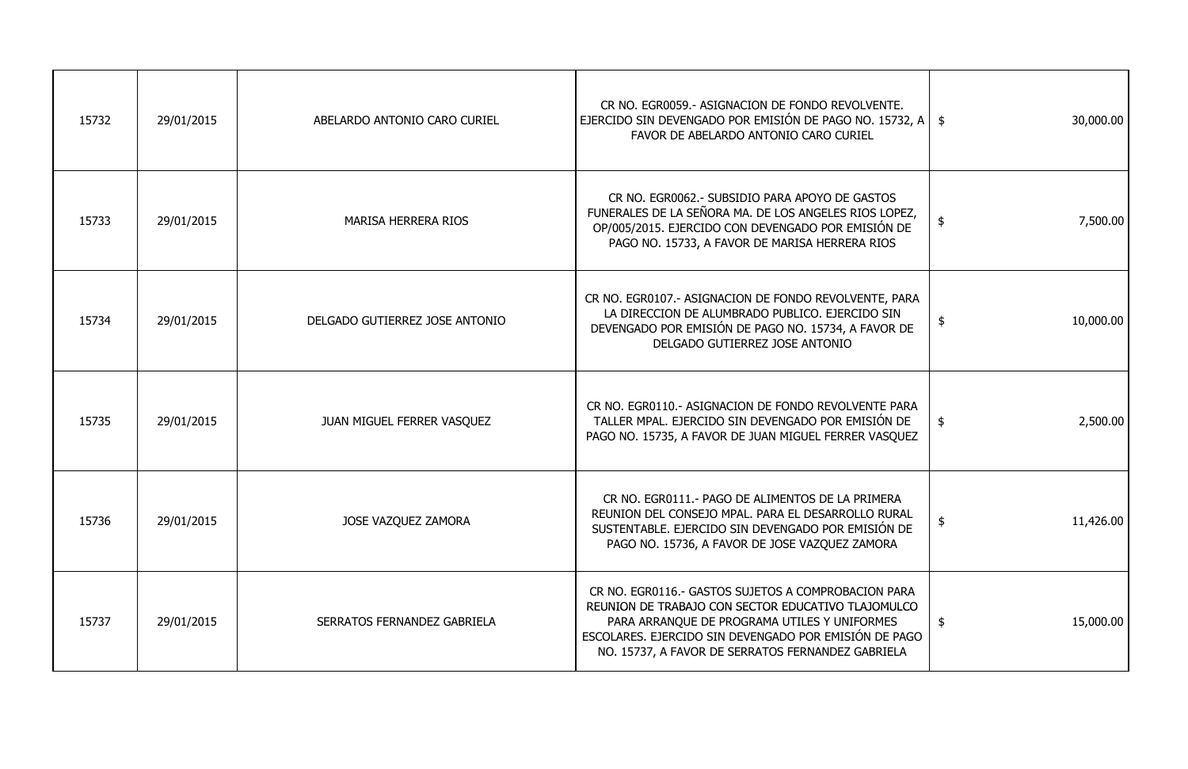| 15732 | 29/01/2015 | ABELARDO ANTONIO CARO CURIEL   | CR NO. EGR0059.- ASIGNACION DE FONDO REVOLVENTE.<br>EJERCIDO SIN DEVENGADO POR EMISIÓN DE PAGO NO. 15732, A $\parallel$ \$<br>FAVOR DE ABELARDO ANTONIO CARO CURIEL                                                                                                     | 30,000.00                  |
|-------|------------|--------------------------------|-------------------------------------------------------------------------------------------------------------------------------------------------------------------------------------------------------------------------------------------------------------------------|----------------------------|
| 15733 | 29/01/2015 | <b>MARISA HERRERA RIOS</b>     | CR NO. EGR0062.- SUBSIDIO PARA APOYO DE GASTOS<br>FUNERALES DE LA SEÑORA MA. DE LOS ANGELES RIOS LOPEZ,<br>OP/005/2015. EJERCIDO CON DEVENGADO POR EMISIÓN DE<br>PAGO NO. 15733, A FAVOR DE MARISA HERRERA RIOS                                                         | 7,500.00<br>्द             |
| 15734 | 29/01/2015 | DELGADO GUTIERREZ JOSE ANTONIO | CR NO. EGR0107.- ASIGNACION DE FONDO REVOLVENTE, PARA<br>LA DIRECCION DE ALUMBRADO PUBLICO. EJERCIDO SIN<br>DEVENGADO POR EMISIÓN DE PAGO NO. 15734, A FAVOR DE<br>DELGADO GUTIERREZ JOSE ANTONIO                                                                       | 10,000.00<br>$\frac{1}{2}$ |
| 15735 | 29/01/2015 | JUAN MIGUEL FERRER VASQUEZ     | CR NO. EGR0110.- ASIGNACION DE FONDO REVOLVENTE PARA<br>TALLER MPAL. EJERCIDO SIN DEVENGADO POR EMISIÓN DE<br>PAGO NO. 15735, A FAVOR DE JUAN MIGUEL FERRER VASQUEZ                                                                                                     | 2,500.00<br>\$             |
| 15736 | 29/01/2015 | JOSE VAZQUEZ ZAMORA            | CR NO. EGR0111.- PAGO DE ALIMENTOS DE LA PRIMERA<br>REUNION DEL CONSEJO MPAL. PARA EL DESARROLLO RURAL<br>SUSTENTABLE. EJERCIDO SIN DEVENGADO POR EMISIÓN DE<br>PAGO NO. 15736, A FAVOR DE JOSE VAZQUEZ ZAMORA                                                          | 11,426.00<br>\$            |
| 15737 | 29/01/2015 | SERRATOS FERNANDEZ GABRIELA    | CR NO. EGR0116.- GASTOS SUJETOS A COMPROBACION PARA<br>REUNION DE TRABAJO CON SECTOR EDUCATIVO TLAJOMULCO<br>PARA ARRANQUE DE PROGRAMA UTILES Y UNIFORMES<br>ESCOLARES. EJERCIDO SIN DEVENGADO POR EMISIÓN DE PAGO<br>NO. 15737, A FAVOR DE SERRATOS FERNANDEZ GABRIELA | 15,000.00<br>$\frac{1}{2}$ |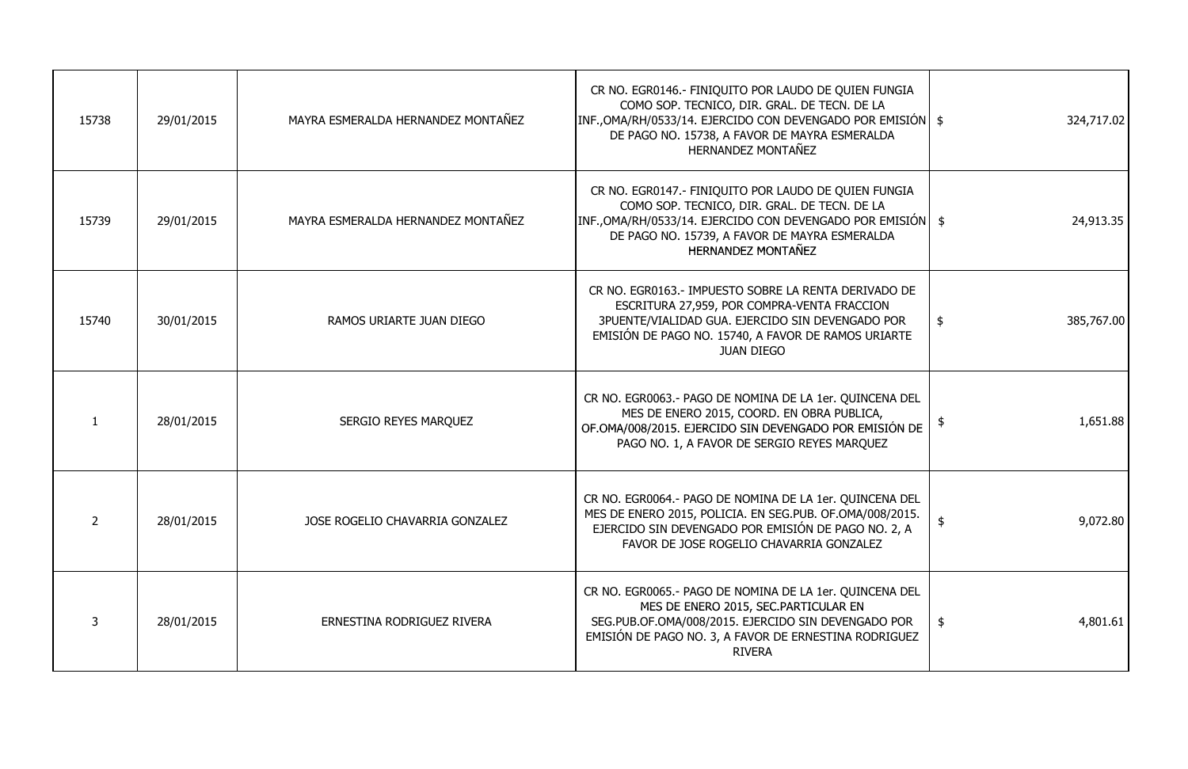| 15738 | 29/01/2015 | MAYRA ESMERALDA HERNANDEZ MONTAÑEZ | CR NO. EGR0146.- FINIQUITO POR LAUDO DE QUIEN FUNGIA<br>COMO SOP. TECNICO, DIR. GRAL. DE TECN. DE LA<br> INF.,OMA/RH/0533/14. EJERCIDO CON DEVENGADO POR EMISIÓN   \$<br>DE PAGO NO. 15738, A FAVOR DE MAYRA ESMERALDA<br>HERNANDEZ MONTAÑEZ | 324,717.02                  |
|-------|------------|------------------------------------|----------------------------------------------------------------------------------------------------------------------------------------------------------------------------------------------------------------------------------------------|-----------------------------|
| 15739 | 29/01/2015 | MAYRA ESMERALDA HERNANDEZ MONTAÑEZ | CR NO. EGR0147.- FINIQUITO POR LAUDO DE QUIEN FUNGIA<br>COMO SOP. TECNICO, DIR. GRAL. DE TECN. DE LA<br> INF.,OMA/RH/0533/14. EJERCIDO CON DEVENGADO POR EMISIÓN   \$<br>DE PAGO NO. 15739, A FAVOR DE MAYRA ESMERALDA<br>HERNANDEZ MONTAÑEZ |                             |
| 15740 | 30/01/2015 | RAMOS URIARTE JUAN DIEGO           | CR NO. EGR0163.- IMPUESTO SOBRE LA RENTA DERIVADO DE<br>ESCRITURA 27,959, POR COMPRA-VENTA FRACCION<br>3PUENTE/VIALIDAD GUA. EJERCIDO SIN DEVENGADO POR<br>EMISIÓN DE PAGO NO. 15740, A FAVOR DE RAMOS URIARTE<br><b>JUAN DIEGO</b>          | 385,767.00<br>$\frac{1}{2}$ |
|       | 28/01/2015 | <b>SERGIO REYES MARQUEZ</b>        | CR NO. EGR0063.- PAGO DE NOMINA DE LA 1er. QUINCENA DEL<br>MES DE ENERO 2015, COORD. EN OBRA PUBLICA,<br>OF.OMA/008/2015. EJERCIDO SIN DEVENGADO POR EMISIÓN DE<br>PAGO NO. 1, A FAVOR DE SERGIO REYES MARQUEZ                               | 1,651.88                    |
|       | 28/01/2015 | JOSE ROGELIO CHAVARRIA GONZALEZ    | CR NO. EGR0064.- PAGO DE NOMINA DE LA 1er. QUINCENA DEL<br>MES DE ENERO 2015, POLICIA. EN SEG.PUB. OF.OMA/008/2015.<br>EJERCIDO SIN DEVENGADO POR EMISIÓN DE PAGO NO. 2, A<br>FAVOR DE JOSE ROGELIO CHAVARRIA GONZALEZ                       | 9,072.80<br>-\$             |
|       | 28/01/2015 | ERNESTINA RODRIGUEZ RIVERA         | CR NO. EGR0065.- PAGO DE NOMINA DE LA 1er. QUINCENA DEL<br>MES DE ENERO 2015, SEC.PARTICULAR EN<br>SEG.PUB.OF.OMA/008/2015. EJERCIDO SIN DEVENGADO POR<br>EMISIÓN DE PAGO NO. 3, A FAVOR DE ERNESTINA RODRIGUEZ<br><b>RIVERA</b>             | 4,801.61<br>$\frac{1}{2}$   |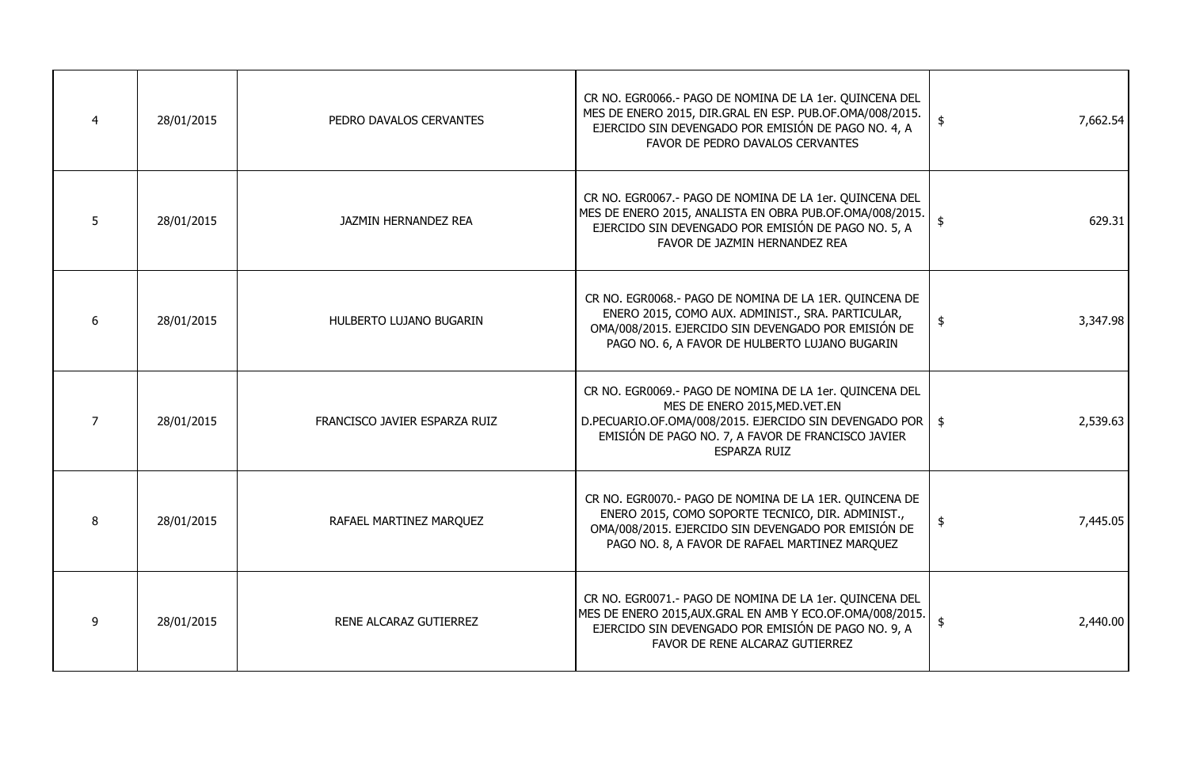|   | 28/01/2015 | PEDRO DAVALOS CERVANTES       | CR NO. EGR0066.- PAGO DE NOMINA DE LA 1er. QUINCENA DEL<br>MES DE ENERO 2015, DIR.GRAL EN ESP. PUB.OF.OMA/008/2015.<br>EJERCIDO SIN DEVENGADO POR EMISIÓN DE PAGO NO. 4, A<br>FAVOR DE PEDRO DAVALOS CERVANTES                      | 7,662.54<br>\$            |
|---|------------|-------------------------------|-------------------------------------------------------------------------------------------------------------------------------------------------------------------------------------------------------------------------------------|---------------------------|
|   | 28/01/2015 | <b>JAZMIN HERNANDEZ REA</b>   | CR NO. EGR0067.- PAGO DE NOMINA DE LA 1er. QUINCENA DEL<br>MES DE ENERO 2015, ANALISTA EN OBRA PUB.OF.OMA/008/2015.<br>EJERCIDO SIN DEVENGADO POR EMISIÓN DE PAGO NO. 5, A<br>FAVOR DE JAZMIN HERNANDEZ REA                         | 629.31                    |
|   | 28/01/2015 | HULBERTO LUJANO BUGARIN       | CR NO. EGR0068.- PAGO DE NOMINA DE LA 1ER. QUINCENA DE<br>ENERO 2015, COMO AUX. ADMINIST., SRA. PARTICULAR,<br>OMA/008/2015. EJERCIDO SIN DEVENGADO POR EMISIÓN DE<br>PAGO NO. 6, A FAVOR DE HULBERTO LUJANO BUGARIN                | $\frac{1}{2}$<br>3,347.98 |
|   | 28/01/2015 | FRANCISCO JAVIER ESPARZA RUIZ | CR NO. EGR0069.- PAGO DE NOMINA DE LA 1er. QUINCENA DEL<br>MES DE ENERO 2015, MED. VET. EN<br>D.PECUARIO.OF.OMA/008/2015. EJERCIDO SIN DEVENGADO POR  <br>EMISIÓN DE PAGO NO. 7, A FAVOR DE FRANCISCO JAVIER<br><b>ESPARZA RUIZ</b> | 2,539.63<br>\$            |
|   | 28/01/2015 | RAFAEL MARTINEZ MARQUEZ       | CR NO. EGR0070.- PAGO DE NOMINA DE LA 1ER. QUINCENA DE<br>ENERO 2015, COMO SOPORTE TECNICO, DIR. ADMINIST.,<br>OMA/008/2015. EJERCIDO SIN DEVENGADO POR EMISIÓN DE<br>PAGO NO. 8, A FAVOR DE RAFAEL MARTINEZ MARQUEZ                | 7,445.05<br>$\frac{1}{2}$ |
| 9 | 28/01/2015 | RENE ALCARAZ GUTIERREZ        | CR NO. EGR0071.- PAGO DE NOMINA DE LA 1er. QUINCENA DEL<br>MES DE ENERO 2015, AUX. GRAL EN AMB Y ECO. OF. OMA/008/2015.<br>EJERCIDO SIN DEVENGADO POR EMISIÓN DE PAGO NO. 9, A<br>FAVOR DE RENE ALCARAZ GUTIERREZ                   | 2,440.00<br>\$            |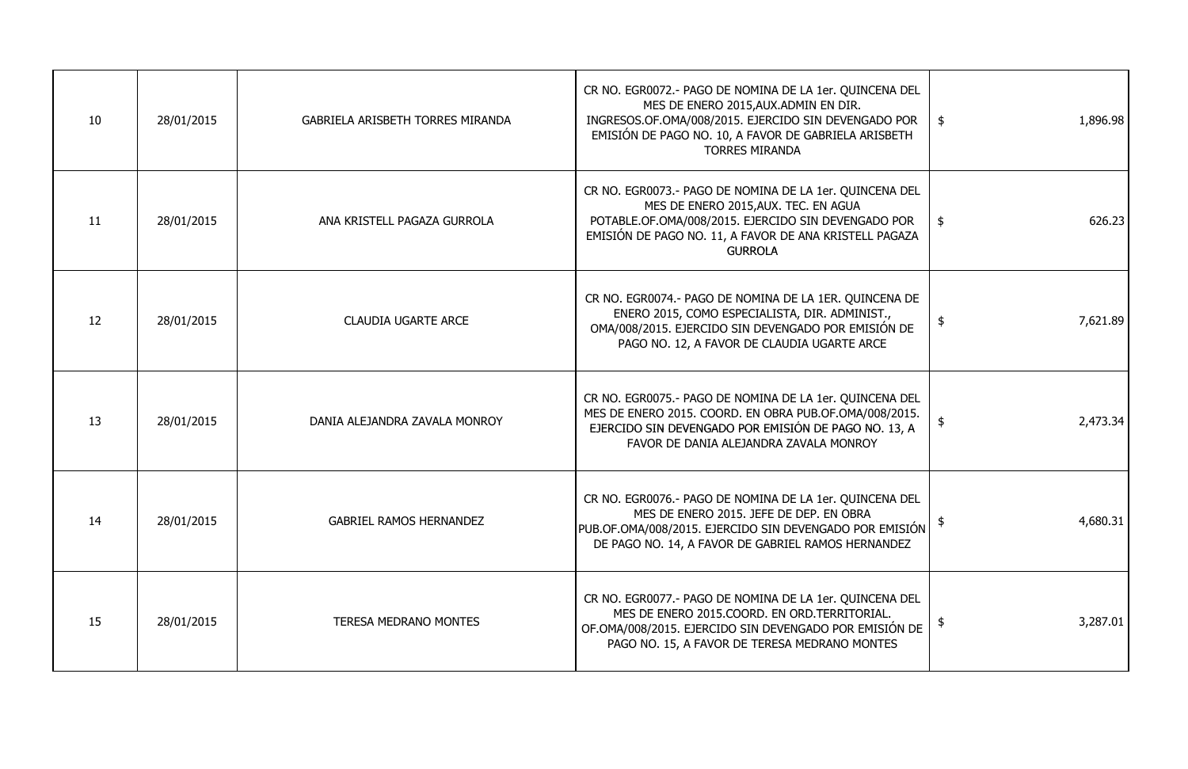| 10 | 28/01/2015 | <b>GABRIELA ARISBETH TORRES MIRANDA</b> | CR NO. EGR0072.- PAGO DE NOMINA DE LA 1er. QUINCENA DEL<br>MES DE ENERO 2015, AUX. ADMIN EN DIR.<br>INGRESOS.OF.OMA/008/2015. EJERCIDO SIN DEVENGADO POR<br>EMISIÓN DE PAGO NO. 10, A FAVOR DE GABRIELA ARISBETH<br><b>TORRES MIRANDA</b> | 1,896.98<br>\$            |
|----|------------|-----------------------------------------|-------------------------------------------------------------------------------------------------------------------------------------------------------------------------------------------------------------------------------------------|---------------------------|
| 11 | 28/01/2015 | ANA KRISTELL PAGAZA GURROLA             | CR NO. EGR0073.- PAGO DE NOMINA DE LA 1er. QUINCENA DEL<br>MES DE ENERO 2015, AUX. TEC. EN AGUA<br>POTABLE.OF.OMA/008/2015. EJERCIDO SIN DEVENGADO POR<br>EMISIÓN DE PAGO NO. 11, A FAVOR DE ANA KRISTELL PAGAZA<br><b>GURROLA</b>        | 626.23<br>$\frac{1}{2}$   |
| 12 | 28/01/2015 | <b>CLAUDIA UGARTE ARCE</b>              | CR NO. EGR0074.- PAGO DE NOMINA DE LA 1ER. QUINCENA DE<br>ENERO 2015, COMO ESPECIALISTA, DIR. ADMINIST.,<br>OMA/008/2015. EJERCIDO SIN DEVENGADO POR EMISIÓN DE<br>PAGO NO. 12, A FAVOR DE CLAUDIA UGARTE ARCE                            | $\frac{1}{2}$<br>7,621.89 |
| 13 | 28/01/2015 | DANIA ALEJANDRA ZAVALA MONROY           | CR NO. EGR0075.- PAGO DE NOMINA DE LA 1er. QUINCENA DEL<br>MES DE ENERO 2015. COORD. EN OBRA PUB.OF.OMA/008/2015.<br>EJERCIDO SIN DEVENGADO POR EMISIÓN DE PAGO NO. 13, A<br>FAVOR DE DANIA ALEJANDRA ZAVALA MONROY                       | 2,473.34<br>-\$           |
| 14 | 28/01/2015 | <b>GABRIEL RAMOS HERNANDEZ</b>          | CR NO. EGR0076.- PAGO DE NOMINA DE LA 1er. QUINCENA DEL<br>MES DE ENERO 2015. JEFE DE DEP. EN OBRA<br>PUB.OF.OMA/008/2015. EJERCIDO SIN DEVENGADO POR EMISIÓN<br>DE PAGO NO. 14, A FAVOR DE GABRIEL RAMOS HERNANDEZ                       | 4,680.31                  |
| 15 | 28/01/2015 | <b>TERESA MEDRANO MONTES</b>            | CR NO. EGR0077.- PAGO DE NOMINA DE LA 1er. QUINCENA DEL<br>MES DE ENERO 2015.COORD. EN ORD.TERRITORIAL.<br>OF.OMA/008/2015. EJERCIDO SIN DEVENGADO POR EMISIÓN DE<br>PAGO NO. 15, A FAVOR DE TERESA MEDRANO MONTES                        | 3,287.01<br>\$            |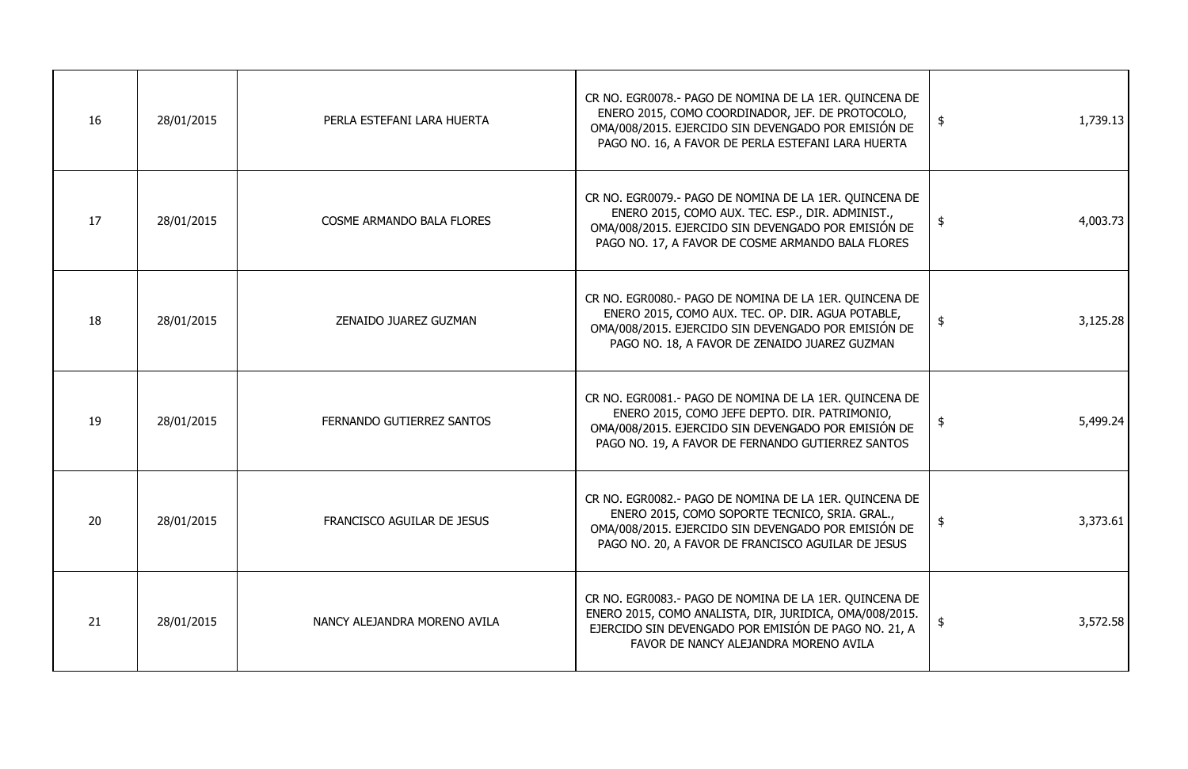| 16 | 28/01/2015 | PERLA ESTEFANI LARA HUERTA       | CR NO. EGR0078.- PAGO DE NOMINA DE LA 1ER. QUINCENA DE<br>ENERO 2015, COMO COORDINADOR, JEF. DE PROTOCOLO,<br>OMA/008/2015. EJERCIDO SIN DEVENGADO POR EMISIÓN DE<br>PAGO NO. 16, A FAVOR DE PERLA ESTEFANI LARA HUERTA | 1,739.13<br>$\frac{1}{2}$ |
|----|------------|----------------------------------|-------------------------------------------------------------------------------------------------------------------------------------------------------------------------------------------------------------------------|---------------------------|
| 17 | 28/01/2015 | <b>COSME ARMANDO BALA FLORES</b> | CR NO. EGR0079.- PAGO DE NOMINA DE LA 1ER. QUINCENA DE<br>ENERO 2015, COMO AUX. TEC. ESP., DIR. ADMINIST.,<br>OMA/008/2015. EJERCIDO SIN DEVENGADO POR EMISIÓN DE<br>PAGO NO. 17, A FAVOR DE COSME ARMANDO BALA FLORES  | $\frac{1}{2}$<br>4,003.73 |
| 18 | 28/01/2015 | ZENAIDO JUAREZ GUZMAN            | CR NO. EGR0080.- PAGO DE NOMINA DE LA 1ER. QUINCENA DE<br>ENERO 2015, COMO AUX. TEC. OP. DIR. AGUA POTABLE,<br>OMA/008/2015. EJERCIDO SIN DEVENGADO POR EMISIÓN DE<br>PAGO NO. 18, A FAVOR DE ZENAIDO JUAREZ GUZMAN     | 3,125.28<br>$\frac{1}{2}$ |
| 19 | 28/01/2015 | FERNANDO GUTIERREZ SANTOS        | CR NO. EGR0081.- PAGO DE NOMINA DE LA 1ER. QUINCENA DE<br>ENERO 2015, COMO JEFE DEPTO. DIR. PATRIMONIO,<br>OMA/008/2015. EJERCIDO SIN DEVENGADO POR EMISIÓN DE<br>PAGO NO. 19, A FAVOR DE FERNANDO GUTIERREZ SANTOS     | 5,499.24<br>$\frac{1}{2}$ |
| 20 | 28/01/2015 | FRANCISCO AGUILAR DE JESUS       | CR NO. EGR0082.- PAGO DE NOMINA DE LA 1ER. QUINCENA DE<br>ENERO 2015, COMO SOPORTE TECNICO, SRIA. GRAL.,<br>OMA/008/2015. EJERCIDO SIN DEVENGADO POR EMISIÓN DE<br>PAGO NO. 20, A FAVOR DE FRANCISCO AGUILAR DE JESUS   | 3,373.61<br>\$            |
| 21 | 28/01/2015 | NANCY ALEJANDRA MORENO AVILA     | CR NO. EGR0083.- PAGO DE NOMINA DE LA 1ER. QUINCENA DE<br>ENERO 2015, COMO ANALISTA, DIR, JURIDICA, OMA/008/2015.<br>EJERCIDO SIN DEVENGADO POR EMISIÓN DE PAGO NO. 21, A<br>FAVOR DE NANCY ALEJANDRA MORENO AVILA      | 3,572.58<br>$\frac{1}{2}$ |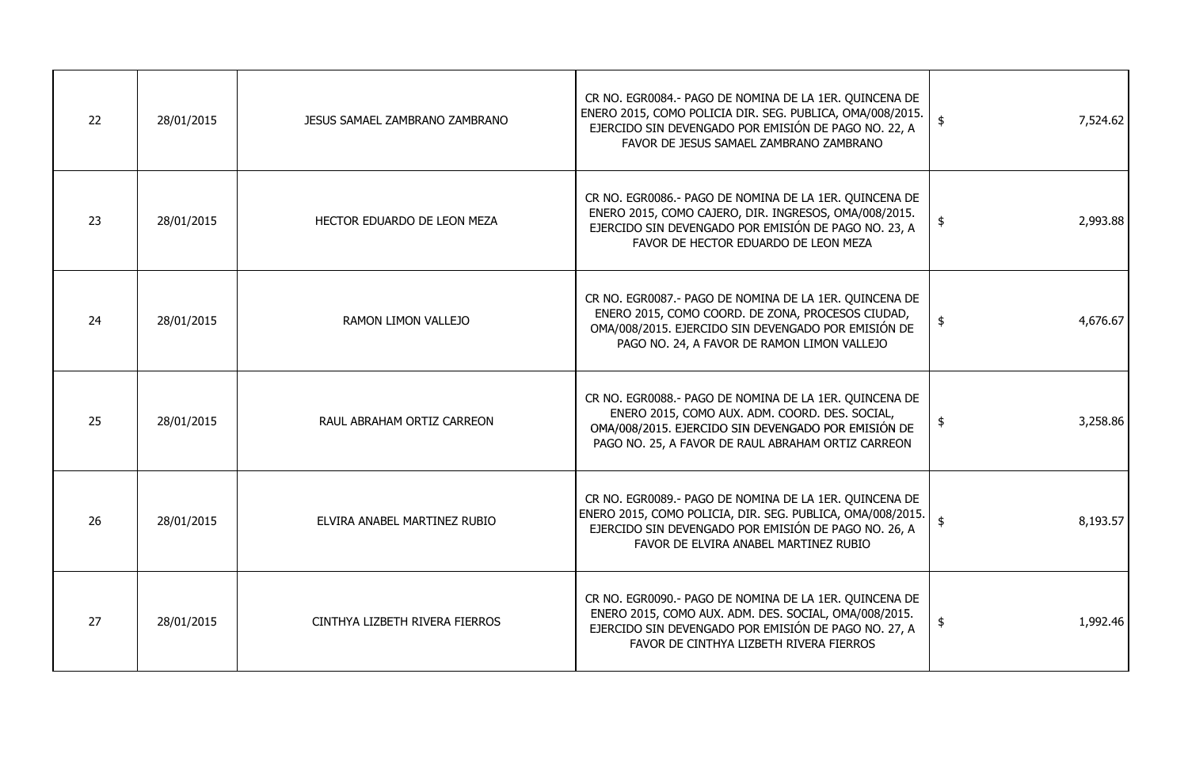| 22 | 28/01/2015 | JESUS SAMAEL ZAMBRANO ZAMBRANO | CR NO. EGR0084.- PAGO DE NOMINA DE LA 1ER. QUINCENA DE<br>ENERO 2015, COMO POLICIA DIR. SEG. PUBLICA, OMA/008/2015.<br>EJERCIDO SIN DEVENGADO POR EMISIÓN DE PAGO NO. 22, A<br>FAVOR DE JESUS SAMAEL ZAMBRANO ZAMBRANO | 7,524.62<br>\$            |
|----|------------|--------------------------------|------------------------------------------------------------------------------------------------------------------------------------------------------------------------------------------------------------------------|---------------------------|
| 23 | 28/01/2015 | HECTOR EDUARDO DE LEON MEZA    | CR NO. EGR0086.- PAGO DE NOMINA DE LA 1ER. QUINCENA DE<br>ENERO 2015, COMO CAJERO, DIR. INGRESOS, OMA/008/2015.<br>EJERCIDO SIN DEVENGADO POR EMISIÓN DE PAGO NO. 23, A<br>FAVOR DE HECTOR EDUARDO DE LEON MEZA        | 2,993.88<br>$\frac{1}{2}$ |
| 24 | 28/01/2015 | <b>RAMON LIMON VALLEJO</b>     | CR NO. EGR0087.- PAGO DE NOMINA DE LA 1ER. QUINCENA DE<br>ENERO 2015, COMO COORD. DE ZONA, PROCESOS CIUDAD,<br>OMA/008/2015. EJERCIDO SIN DEVENGADO POR EMISIÓN DE<br>PAGO NO. 24, A FAVOR DE RAMON LIMON VALLEJO      | 4,676.67<br>$\frac{1}{2}$ |
| 25 | 28/01/2015 | RAUL ABRAHAM ORTIZ CARREON     | CR NO. EGR0088.- PAGO DE NOMINA DE LA 1ER. QUINCENA DE<br>ENERO 2015, COMO AUX. ADM. COORD. DES. SOCIAL,<br>OMA/008/2015. EJERCIDO SIN DEVENGADO POR EMISIÓN DE<br>PAGO NO. 25, A FAVOR DE RAUL ABRAHAM ORTIZ CARREON  | 3,258.86<br>\$            |
| 26 | 28/01/2015 | ELVIRA ANABEL MARTINEZ RUBIO   | CR NO. EGR0089.- PAGO DE NOMINA DE LA 1ER. QUINCENA DE<br>ENERO 2015, COMO POLICIA, DIR. SEG. PUBLICA, OMA/008/2015.<br>EJERCIDO SIN DEVENGADO POR EMISIÓN DE PAGO NO. 26, A<br>FAVOR DE ELVIRA ANABEL MARTINEZ RUBIO  | 8,193.57<br>\$            |
| 27 | 28/01/2015 | CINTHYA LIZBETH RIVERA FIERROS | CR NO. EGR0090.- PAGO DE NOMINA DE LA 1ER. QUINCENA DE<br>ENERO 2015, COMO AUX. ADM. DES. SOCIAL, OMA/008/2015.<br>EJERCIDO SIN DEVENGADO POR EMISIÓN DE PAGO NO. 27, A<br>FAVOR DE CINTHYA LIZBETH RIVERA FIERROS     | 1,992.46<br>\$            |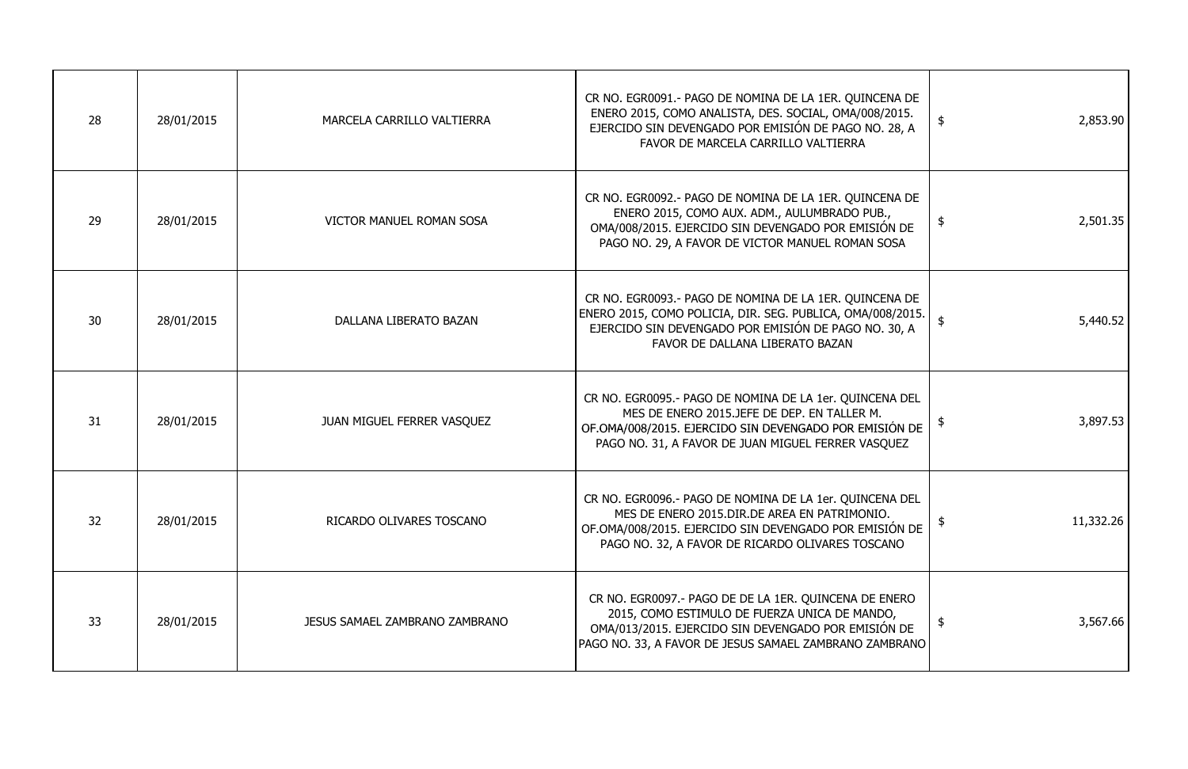| 28 | 28/01/2015 | MARCELA CARRILLO VALTIERRA            | CR NO. EGR0091.- PAGO DE NOMINA DE LA 1ER. QUINCENA DE<br>ENERO 2015, COMO ANALISTA, DES. SOCIAL, OMA/008/2015.<br>EJERCIDO SIN DEVENGADO POR EMISIÓN DE PAGO NO. 28, A<br>FAVOR DE MARCELA CARRILLO VALTIERRA          | $\frac{1}{2}$<br>2,853.90  |
|----|------------|---------------------------------------|-------------------------------------------------------------------------------------------------------------------------------------------------------------------------------------------------------------------------|----------------------------|
| 29 | 28/01/2015 | VICTOR MANUEL ROMAN SOSA              | CR NO. EGR0092.- PAGO DE NOMINA DE LA 1ER. QUINCENA DE<br>ENERO 2015, COMO AUX. ADM., AULUMBRADO PUB.,<br>OMA/008/2015. EJERCIDO SIN DEVENGADO POR EMISIÓN DE<br>PAGO NO. 29, A FAVOR DE VICTOR MANUEL ROMAN SOSA       | 2,501.35<br>$\frac{1}{2}$  |
| 30 | 28/01/2015 | DALLANA LIBERATO BAZAN                | CR NO. EGR0093.- PAGO DE NOMINA DE LA 1ER. QUINCENA DE<br>ENERO 2015, COMO POLICIA, DIR. SEG. PUBLICA, OMA/008/2015.<br>EJERCIDO SIN DEVENGADO POR EMISIÓN DE PAGO NO. 30, A<br>FAVOR DE DALLANA LIBERATO BAZAN         | 5,440.52<br>\$             |
| 31 | 28/01/2015 | JUAN MIGUEL FERRER VASQUEZ            | CR NO. EGR0095.- PAGO DE NOMINA DE LA 1er. QUINCENA DEL<br>MES DE ENERO 2015.JEFE DE DEP. EN TALLER M.<br>OF.OMA/008/2015. EJERCIDO SIN DEVENGADO POR EMISIÓN DE<br>PAGO NO. 31, A FAVOR DE JUAN MIGUEL FERRER VASQUEZ  | 3,897.53<br>\$             |
| 32 | 28/01/2015 | RICARDO OLIVARES TOSCANO              | CR NO. EGR0096.- PAGO DE NOMINA DE LA 1er. QUINCENA DEL<br>MES DE ENERO 2015. DIR. DE AREA EN PATRIMONIO.<br>OF.OMA/008/2015. EJERCIDO SIN DEVENGADO POR EMISIÓN DE<br>PAGO NO. 32, A FAVOR DE RICARDO OLIVARES TOSCANO | 11,332.26                  |
| 33 | 28/01/2015 | <b>JESUS SAMAEL ZAMBRANO ZAMBRANO</b> | CR NO. EGR0097.- PAGO DE DE LA 1ER. QUINCENA DE ENERO<br>2015, COMO ESTIMULO DE FUERZA UNICA DE MANDO,<br>OMA/013/2015. EJERCIDO SIN DEVENGADO POR EMISIÓN DE<br>PAGO NO. 33, A FAVOR DE JESUS SAMAEL ZAMBRANO ZAMBRANO | 3,567.66<br>$\mathfrak{p}$ |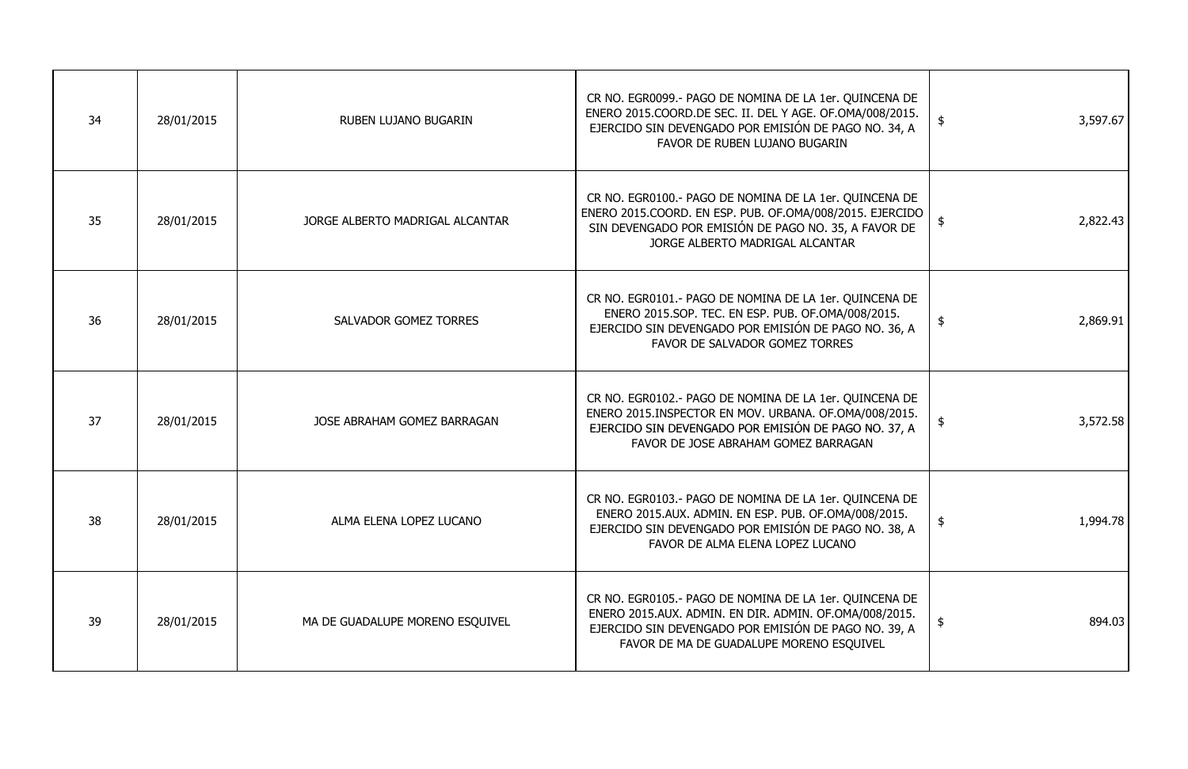| 34 | 28/01/2015 | RUBEN LUJANO BUGARIN            | CR NO. EGR0099.- PAGO DE NOMINA DE LA 1er. QUINCENA DE<br>ENERO 2015.COORD.DE SEC. II. DEL Y AGE. OF.OMA/008/2015.<br>EJERCIDO SIN DEVENGADO POR EMISIÓN DE PAGO NO. 34, A<br>FAVOR DE RUBEN LUJANO BUGARIN          | 3,597.67<br>\$            |
|----|------------|---------------------------------|----------------------------------------------------------------------------------------------------------------------------------------------------------------------------------------------------------------------|---------------------------|
| 35 | 28/01/2015 | JORGE ALBERTO MADRIGAL ALCANTAR | CR NO. EGR0100.- PAGO DE NOMINA DE LA 1er. QUINCENA DE<br>ENERO 2015.COORD. EN ESP. PUB. OF.OMA/008/2015. EJERCIDO<br>SIN DEVENGADO POR EMISIÓN DE PAGO NO. 35, A FAVOR DE<br>JORGE ALBERTO MADRIGAL ALCANTAR        | 2,822.43                  |
| 36 | 28/01/2015 | <b>SALVADOR GOMEZ TORRES</b>    | CR NO. EGR0101.- PAGO DE NOMINA DE LA 1er. QUINCENA DE<br>ENERO 2015.SOP. TEC. EN ESP. PUB. OF.OMA/008/2015.<br>EJERCIDO SIN DEVENGADO POR EMISIÓN DE PAGO NO. 36, A<br>FAVOR DE SALVADOR GOMEZ TORRES               | 2,869.91<br>$\frac{1}{2}$ |
| 37 | 28/01/2015 | JOSE ABRAHAM GOMEZ BARRAGAN     | CR NO. EGR0102.- PAGO DE NOMINA DE LA 1er. QUINCENA DE<br>ENERO 2015.INSPECTOR EN MOV. URBANA. OF.OMA/008/2015.<br>EJERCIDO SIN DEVENGADO POR EMISIÓN DE PAGO NO. 37, A<br>FAVOR DE JOSE ABRAHAM GOMEZ BARRAGAN      | 3,572.58<br>\$            |
| 38 | 28/01/2015 | ALMA ELENA LOPEZ LUCANO         | CR NO. EGR0103.- PAGO DE NOMINA DE LA 1er. QUINCENA DE<br>ENERO 2015.AUX. ADMIN. EN ESP. PUB. OF.OMA/008/2015.<br>EJERCIDO SIN DEVENGADO POR EMISIÓN DE PAGO NO. 38, A<br>FAVOR DE ALMA ELENA LOPEZ LUCANO           | $\frac{1}{2}$<br>1,994.78 |
| 39 | 28/01/2015 | MA DE GUADALUPE MORENO ESQUIVEL | CR NO. EGR0105.- PAGO DE NOMINA DE LA 1er. QUINCENA DE<br>ENERO 2015.AUX. ADMIN. EN DIR. ADMIN. OF.OMA/008/2015.<br>EJERCIDO SIN DEVENGADO POR EMISIÓN DE PAGO NO. 39, A<br>FAVOR DE MA DE GUADALUPE MORENO ESQUIVEL | 894.03<br>$\frac{1}{2}$   |